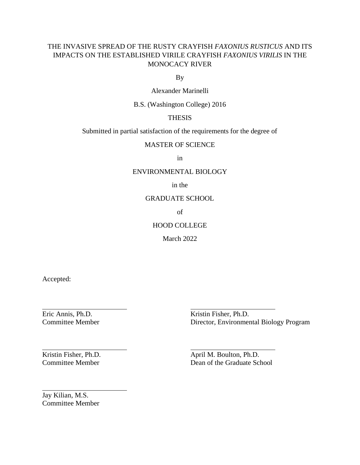## THE INVASIVE SPREAD OF THE RUSTY CRAYFISH *FAXONIUS RUSTICUS* AND ITS IMPACTS ON THE ESTABLISHED VIRILE CRAYFISH *FAXONIUS VIRILIS* IN THE MONOCACY RIVER

By

Alexander Marinelli

B.S. (Washington College) 2016

## THESIS

Submitted in partial satisfaction of the requirements for the degree of

MASTER OF SCIENCE

in

## ENVIRONMENTAL BIOLOGY

in the

## GRADUATE SCHOOL

of

## HOOD COLLEGE

March 2022

Accepted:

Eric Annis, Ph.D. Kristin Fisher, Ph.D. Committee Member Director, Environmental Biology Program

Kristin Fisher, Ph.D. April M. Boulton, Ph.D. Committee Member Dean of the Graduate School

Jay Kilian, M.S. Committee Member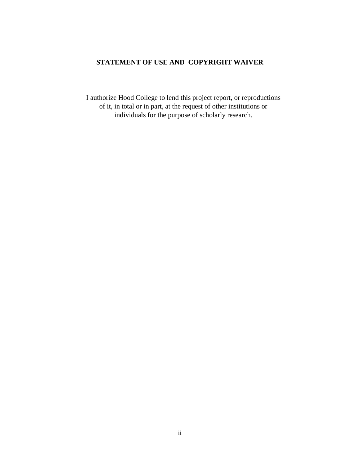## <span id="page-1-0"></span>**STATEMENT OF USE AND COPYRIGHT WAIVER**

I authorize Hood College to lend this project report, or reproductions of it, in total or in part, at the request of other institutions or individuals for the purpose of scholarly research.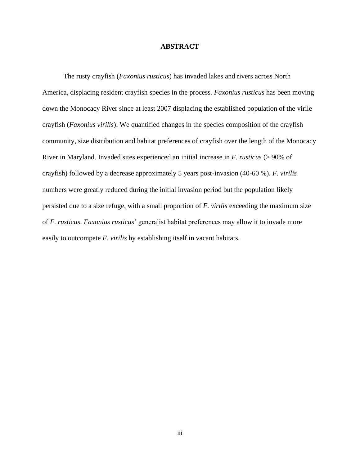#### **ABSTRACT**

<span id="page-2-0"></span>The rusty crayfish (*Faxonius rusticus*) has invaded lakes and rivers across North America, displacing resident crayfish species in the process. *Faxonius rusticus* has been moving down the Monocacy River since at least 2007 displacing the established population of the virile crayfish (*Faxonius virilis*). We quantified changes in the species composition of the crayfish community, size distribution and habitat preferences of crayfish over the length of the Monocacy River in Maryland. Invaded sites experienced an initial increase in *F. rusticus* (> 90% of crayfish) followed by a decrease approximately 5 years post-invasion (40-60 %). *F. virilis* numbers were greatly reduced during the initial invasion period but the population likely persisted due to a size refuge, with a small proportion of *F. virilis* exceeding the maximum size of *F. rusticus*. *Faxonius rusticus*' generalist habitat preferences may allow it to invade more easily to outcompete *F. virilis* by establishing itself in vacant habitats.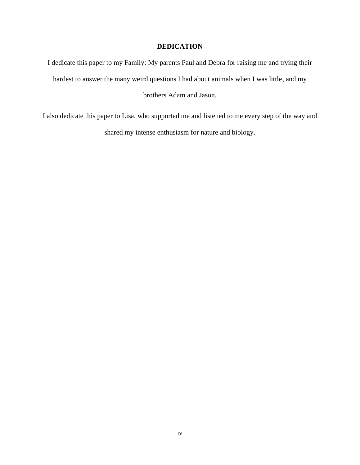## **DEDICATION**

<span id="page-3-0"></span>I dedicate this paper to my Family: My parents Paul and Debra for raising me and trying their hardest to answer the many weird questions I had about animals when I was little, and my brothers Adam and Jason.

I also dedicate this paper to Lisa, who supported me and listened to me every step of the way and shared my intense enthusiasm for nature and biology.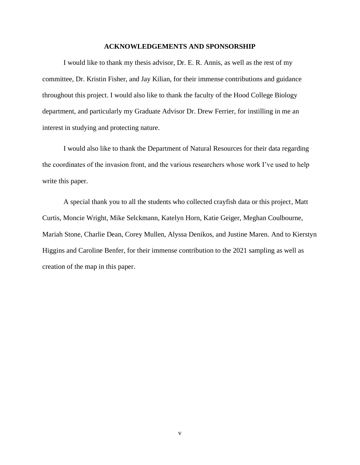#### **ACKNOWLEDGEMENTS AND SPONSORSHIP**

<span id="page-4-0"></span>I would like to thank my thesis advisor, Dr. E. R. Annis, as well as the rest of my committee, Dr. Kristin Fisher, and Jay Kilian, for their immense contributions and guidance throughout this project. I would also like to thank the faculty of the Hood College Biology department, and particularly my Graduate Advisor Dr. Drew Ferrier, for instilling in me an interest in studying and protecting nature.

I would also like to thank the Department of Natural Resources for their data regarding the coordinates of the invasion front, and the various researchers whose work I've used to help write this paper.

A special thank you to all the students who collected crayfish data or this project, Matt Curtis, Moncie Wright, Mike Selckmann, Katelyn Horn, Katie Geiger, Meghan Coulbourne, Mariah Stone, Charlie Dean, Corey Mullen, Alyssa Denikos, and Justine Maren. And to Kierstyn Higgins and Caroline Benfer, for their immense contribution to the 2021 sampling as well as creation of the map in this paper.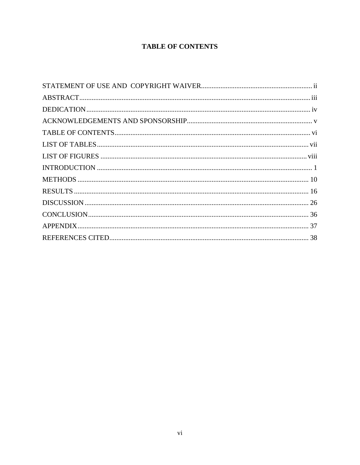# **TABLE OF CONTENTS**

<span id="page-5-0"></span>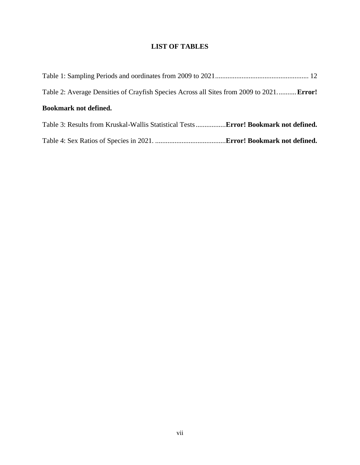# **LIST OF TABLES**

<span id="page-6-0"></span>

| Table 2: Average Densities of Crayfish Species Across all Sites from 2009 to 2021 Error!   |  |
|--------------------------------------------------------------------------------------------|--|
| <b>Bookmark not defined.</b>                                                               |  |
| Table 3: Results from Kruskal-Wallis Statistical Tests <b>Error! Bookmark not defined.</b> |  |
|                                                                                            |  |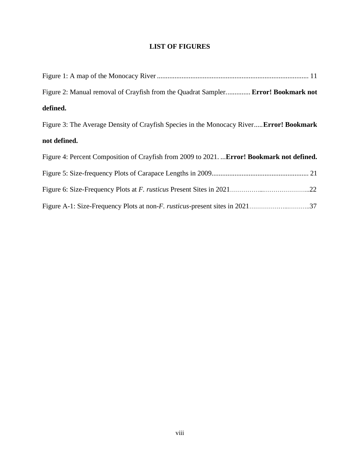# **LIST OF FIGURES**

<span id="page-7-0"></span>

| Figure 2: Manual removal of Crayfish from the Quadrat Sampler Error! Bookmark not          |
|--------------------------------------------------------------------------------------------|
| defined.                                                                                   |
| Figure 3: The Average Density of Crayfish Species in the Monocacy River Error! Bookmark    |
| not defined.                                                                               |
| Figure 4: Percent Composition of Crayfish from 2009 to 2021.  Error! Bookmark not defined. |
|                                                                                            |
|                                                                                            |
|                                                                                            |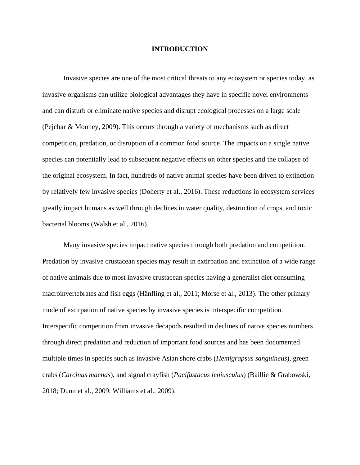#### **INTRODUCTION**

<span id="page-8-0"></span>Invasive species are one of the most critical threats to any ecosystem or species today, as invasive organisms can utilize biological advantages they have in specific novel environments and can disturb or eliminate native species and disrupt ecological processes on a large scale (Pejchar & Mooney, 2009). This occurs through a variety of mechanisms such as direct competition, predation, or disruption of a common food source. The impacts on a single native species can potentially lead to subsequent negative effects on other species and the collapse of the original ecosystem. In fact, hundreds of native animal species have been driven to extinction by relatively few invasive species (Doherty et al., 2016). These reductions in ecosystem services greatly impact humans as well through declines in water quality, destruction of crops, and toxic bacterial blooms (Walsh et al., 2016).

Many invasive species impact native species through both predation and competition. Predation by invasive crustacean species may result in extirpation and extinction of a wide range of native animals due to most invasive crustacean species having a generalist diet consuming macroinvertebrates and fish eggs (Hänfling et al., 2011; Morse et al., 2013). The other primary mode of extirpation of native species by invasive species is interspecific competition. Interspecific competition from invasive decapods resulted in declines of native species numbers through direct predation and reduction of important food sources and has been documented multiple times in species such as invasive Asian shore crabs (*Hemigrapsus sanguineus*), green crabs (*Carcinus maenas*), and signal crayfish (*Pacifastacus leniusculus*) (Baillie & Grabowski, 2018; Dunn et al., 2009; Williams et al., 2009).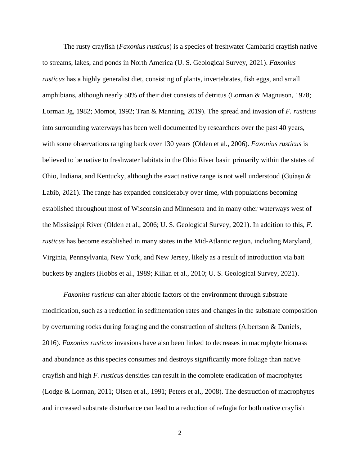The rusty crayfish (*Faxonius rusticus*) is a species of freshwater Cambarid crayfish native to streams, lakes, and ponds in North America (U. S. Geological Survey, 2021). *Faxonius rusticus* has a highly generalist diet, consisting of plants, invertebrates, fish eggs, and small amphibians, although nearly 50% of their diet consists of detritus (Lorman & Magnuson, 1978; Lorman Jg, 1982; Momot, 1992; Tran & Manning, 2019). The spread and invasion of *F. rusticus* into surrounding waterways has been well documented by researchers over the past 40 years, with some observations ranging back over 130 years (Olden et al., 2006). *Faxonius rusticus* is believed to be native to freshwater habitats in the Ohio River basin primarily within the states of Ohio, Indiana, and Kentucky, although the exact native range is not well understood (Guiaşu & Labib, 2021). The range has expanded considerably over time, with populations becoming established throughout most of Wisconsin and Minnesota and in many other waterways west of the Mississippi River (Olden et al., 2006; U. S. Geological Survey, 2021). In addition to this, *F. rusticus* has become established in many states in the Mid-Atlantic region, including Maryland, Virginia, Pennsylvania, New York, and New Jersey, likely as a result of introduction via bait buckets by anglers (Hobbs et al., 1989; Kilian et al., 2010; U. S. Geological Survey, 2021).

*Faxonius rusticus* can alter abiotic factors of the environment through substrate modification, such as a reduction in sedimentation rates and changes in the substrate composition by overturning rocks during foraging and the construction of shelters (Albertson & Daniels, 2016). *Faxonius rusticus* invasions have also been linked to decreases in macrophyte biomass and abundance as this species consumes and destroys significantly more foliage than native crayfish and high *F. rusticus* densities can result in the complete eradication of macrophytes (Lodge & Lorman, 2011; Olsen et al., 1991; Peters et al., 2008). The destruction of macrophytes and increased substrate disturbance can lead to a reduction of refugia for both native crayfish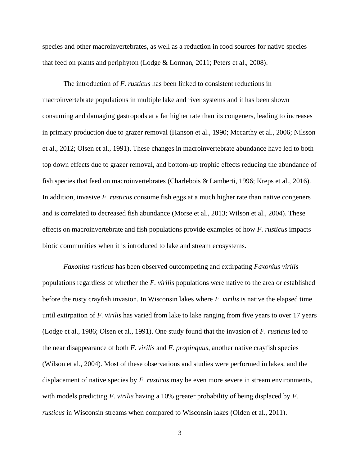species and other macroinvertebrates, as well as a reduction in food sources for native species that feed on plants and periphyton (Lodge & Lorman, 2011; Peters et al., 2008).

The introduction of *F. rusticus* has been linked to consistent reductions in macroinvertebrate populations in multiple lake and river systems and it has been shown consuming and damaging gastropods at a far higher rate than its congeners, leading to increases in primary production due to grazer removal (Hanson et al., 1990; Mccarthy et al., 2006; Nilsson et al., 2012; Olsen et al., 1991). These changes in macroinvertebrate abundance have led to both top down effects due to grazer removal, and bottom-up trophic effects reducing the abundance of fish species that feed on macroinvertebrates (Charlebois & Lamberti, 1996; Kreps et al., 2016). In addition, invasive *F. rusticus* consume fish eggs at a much higher rate than native congeners and is correlated to decreased fish abundance (Morse et al., 2013; Wilson et al., 2004). These effects on macroinvertebrate and fish populations provide examples of how *F. rusticus* impacts biotic communities when it is introduced to lake and stream ecosystems.

*Faxonius rusticus* has been observed outcompeting and extirpating *Faxonius virilis* populations regardless of whether the *F. virilis* populations were native to the area or established before the rusty crayfish invasion. In Wisconsin lakes where *F. virilis* is native the elapsed time until extirpation of *F. virilis* has varied from lake to lake ranging from five years to over 17 years (Lodge et al., 1986; Olsen et al., 1991). One study found that the invasion of *F. rusticus* led to the near disappearance of both *F. virilis* and *F. propinquus*, another native crayfish species (Wilson et al., 2004). Most of these observations and studies were performed in lakes, and the displacement of native species by *F. rusticus* may be even more severe in stream environments, with models predicting *F. virilis* having a 10% greater probability of being displaced by *F. rusticus* in Wisconsin streams when compared to Wisconsin lakes (Olden et al., 2011).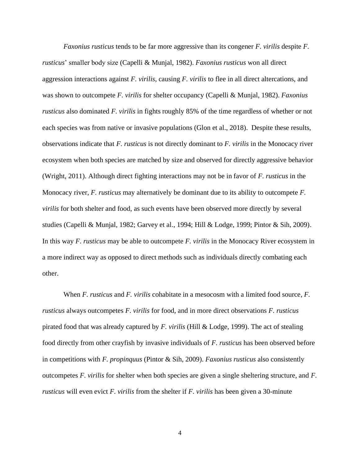*Faxonius rusticus* tends to be far more aggressive than its congener *F. virilis* despite *F. rusticus*' smaller body size (Capelli & Munjal, 1982). *Faxonius rusticus* won all direct aggression interactions against *F. virilis*, causing *F. virilis* to flee in all direct altercations, and was shown to outcompete *F. virilis* for shelter occupancy (Capelli & Munjal, 1982). *Faxonius rusticus* also dominated *F. virilis* in fights roughly 85% of the time regardless of whether or not each species was from native or invasive populations (Glon et al., 2018). Despite these results, observations indicate that *F. rusticus* is not directly dominant to *F. virilis* in the Monocacy river ecosystem when both species are matched by size and observed for directly aggressive behavior (Wright, 2011). Although direct fighting interactions may not be in favor of *F. rusticus* in the Monocacy river, *F. rusticus* may alternatively be dominant due to its ability to outcompete *F. virilis* for both shelter and food, as such events have been observed more directly by several studies (Capelli & Munjal, 1982; Garvey et al., 1994; Hill & Lodge, 1999; Pintor & Sih, 2009). In this way *F. rusticus* may be able to outcompete *F. virilis* in the Monocacy River ecosystem in a more indirect way as opposed to direct methods such as individuals directly combating each other.

When *F. rusticus* and *F. virilis* cohabitate in a mesocosm with a limited food source, *F. rusticus* always outcompetes *F. virilis* for food, and in more direct observations *F. rusticus* pirated food that was already captured by *F. virilis* (Hill & Lodge, 1999). The act of stealing food directly from other crayfish by invasive individuals of *F. rusticus* has been observed before in competitions with *F. propinquus* (Pintor & Sih, 2009). *Faxonius rusticus* also consistently outcompetes *F. virilis* for shelter when both species are given a single sheltering structure, and *F. rusticus* will even evict *F. virilis* from the shelter if *F. virilis* has been given a 30-minute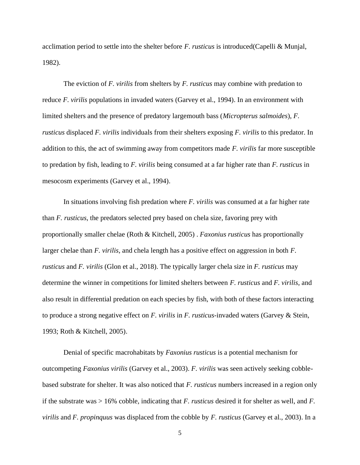acclimation period to settle into the shelter before *F. rusticus* is introduced(Capelli & Munjal, 1982).

The eviction of *F. virilis* from shelters by *F. rusticus* may combine with predation to reduce *F. virilis* populations in invaded waters (Garvey et al., 1994). In an environment with limited shelters and the presence of predatory largemouth bass (*Micropterus salmoides*), *F. rusticus* displaced *F. virilis* individuals from their shelters exposing *F. virilis* to this predator. In addition to this, the act of swimming away from competitors made *F. virilis* far more susceptible to predation by fish, leading to *F. virilis* being consumed at a far higher rate than *F. rusticus* in mesocosm experiments (Garvey et al., 1994).

In situations involving fish predation where *F. virilis* was consumed at a far higher rate than *F. rusticus*, the predators selected prey based on chela size, favoring prey with proportionally smaller chelae (Roth & Kitchell, 2005) . *Faxonius rusticus* has proportionally larger chelae than *F. virilis*, and chela length has a positive effect on aggression in both *F. rusticus* and *F. virilis* (Glon et al., 2018). The typically larger chela size in *F. rusticus* may determine the winner in competitions for limited shelters between *F. rusticus* and *F. virilis*, and also result in differential predation on each species by fish, with both of these factors interacting to produce a strong negative effect on *F. virilis* in *F. rusticus*-invaded waters (Garvey & Stein, 1993; Roth & Kitchell, 2005).

Denial of specific macrohabitats by *Faxonius rusticus* is a potential mechanism for outcompeting *Faxonius virilis* (Garvey et al., 2003). *F. virilis* was seen actively seeking cobblebased substrate for shelter. It was also noticed that *F. rusticus* numbers increased in a region only if the substrate was > 16% cobble, indicating that *F. rusticus* desired it for shelter as well, and *F. virilis* and *F. propinquus* was displaced from the cobble by *F. rusticus* (Garvey et al., 2003). In a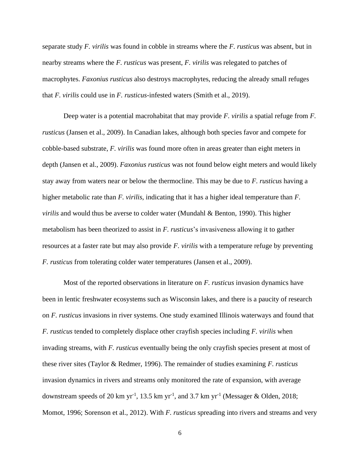separate study *F. virilis* was found in cobble in streams where the *F. rusticus* was absent, but in nearby streams where the *F. rusticus* was present, *F. virilis* was relegated to patches of macrophytes. *Faxonius rusticus* also destroys macrophytes, reducing the already small refuges that *F. virilis* could use in *F. rusticus*-infested waters (Smith et al., 2019).

Deep water is a potential macrohabitat that may provide *F. virilis* a spatial refuge from *F. rusticus* (Jansen et al., 2009). In Canadian lakes, although both species favor and compete for cobble-based substrate, *F. virilis* was found more often in areas greater than eight meters in depth (Jansen et al., 2009). *Faxonius rusticus* was not found below eight meters and would likely stay away from waters near or below the thermocline. This may be due to *F. rusticus* having a higher metabolic rate than *F. virilis*, indicating that it has a higher ideal temperature than *F. virilis* and would thus be averse to colder water (Mundahl & Benton, 1990). This higher metabolism has been theorized to assist in *F. rusticus*'s invasiveness allowing it to gather resources at a faster rate but may also provide *F. virilis* with a temperature refuge by preventing *F. rusticus* from tolerating colder water temperatures (Jansen et al., 2009).

Most of the reported observations in literature on *F. rusticus* invasion dynamics have been in lentic freshwater ecosystems such as Wisconsin lakes, and there is a paucity of research on *F. rusticus* invasions in river systems. One study examined Illinois waterways and found that *F. rusticus* tended to completely displace other crayfish species including *F. virilis* when invading streams, with *F. rusticus* eventually being the only crayfish species present at most of these river sites (Taylor & Redmer, 1996). The remainder of studies examining *F. rusticus* invasion dynamics in rivers and streams only monitored the rate of expansion, with average downstream speeds of 20 km yr<sup>-1</sup>, 13.5 km yr<sup>-1</sup>, and 3.7 km yr<sup>-1</sup> (Messager & Olden, 2018; Momot, 1996; Sorenson et al., 2012). With *F. rusticus* spreading into rivers and streams and very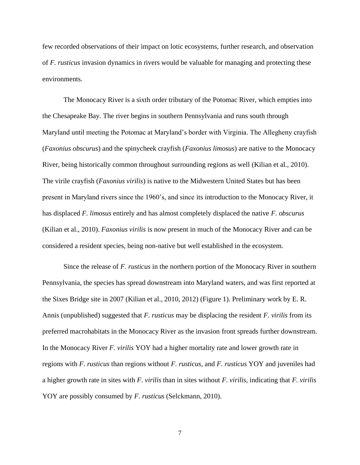few recorded observations of their impact on lotic ecosystems, further research, and observation of *F. rusticus* invasion dynamics in rivers would be valuable for managing and protecting these environments.

The Monocacy River is a sixth order tributary of the Potomac River, which empties into the Chesapeake Bay. The river begins in southern Pennsylvania and runs south through Maryland until meeting the Potomac at Maryland's border with Virginia. The Allegheny crayfish (*Faxonius obscurus*) and the spinycheek crayfish (*Faxonius limosus*) are native to the Monocacy River, being historically common throughout surrounding regions as well (Kilian et al., 2010). The virile crayfish (*Faxonius virilis*) is native to the Midwestern United States but has been present in Maryland rivers since the 1960's, and since its introduction to the Monocacy River, it has displaced *F. limosus* entirely and has almost completely displaced the native *F. obscurus* (Kilian et al., 2010). *Faxonius virilis* is now present in much of the Monocacy River and can be considered a resident species, being non-native but well established in the ecosystem.

Since the release of *F. rusticus* in the northern portion of the Monocacy River in southern Pennsylvania, the species has spread downstream into Maryland waters, and was first reported at the Sixes Bridge site in 2007 (Kilian et al., 2010, 2012) (Figure 1). Preliminary work by E. R. Annis (unpublished) suggested that *F. rusticus* may be displacing the resident *F. virilis* from its preferred macrohabitats in the Monocacy River as the invasion front spreads further downstream. In the Monocacy River *F. virilis* YOY had a higher mortality rate and lower growth rate in regions with *F. rusticus* than regions without *F. rusticus*, and *F. rusticus* YOY and juveniles had a higher growth rate in sites with *F. virilis* than in sites without *F. virilis*, indicating that *F. virilis* YOY are possibly consumed by *F. rusticus* (Selckmann, 2010).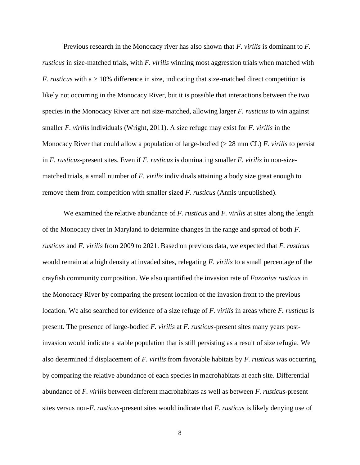Previous research in the Monocacy river has also shown that *F. virilis* is dominant to *F. rusticus* in size-matched trials, with *F. virilis* winning most aggression trials when matched with *F. rusticus* with a  $> 10\%$  difference in size, indicating that size-matched direct competition is likely not occurring in the Monocacy River, but it is possible that interactions between the two species in the Monocacy River are not size-matched, allowing larger *F. rusticus* to win against smaller *F. virilis* individuals (Wright, 2011). A size refuge may exist for *F. virilis* in the Monocacy River that could allow a population of large-bodied (> 28 mm CL) *F. virilis* to persist in *F. rusticus*-present sites. Even if *F. rusticus* is dominating smaller *F. virilis* in non-sizematched trials, a small number of *F. virilis* individuals attaining a body size great enough to remove them from competition with smaller sized *F. rusticus* (Annis unpublished).

We examined the relative abundance of *F. rusticus* and *F. virilis* at sites along the length of the Monocacy river in Maryland to determine changes in the range and spread of both *F. rusticus* and *F. virilis* from 2009 to 2021. Based on previous data, we expected that *F. rusticus* would remain at a high density at invaded sites, relegating *F. virilis* to a small percentage of the crayfish community composition. We also quantified the invasion rate of *Faxonius rusticus* in the Monocacy River by comparing the present location of the invasion front to the previous location. We also searched for evidence of a size refuge of *F. virilis* in areas where *F. rusticus* is present. The presence of large-bodied *F. virilis* at *F. rusticus*-present sites many years postinvasion would indicate a stable population that is still persisting as a result of size refugia. We also determined if displacement of *F. virilis* from favorable habitats by *F. rusticus* was occurring by comparing the relative abundance of each species in macrohabitats at each site. Differential abundance of *F. virilis* between different macrohabitats as well as between *F. rusticus*-present sites versus non-*F. rusticus*-present sites would indicate that *F. rusticus* is likely denying use of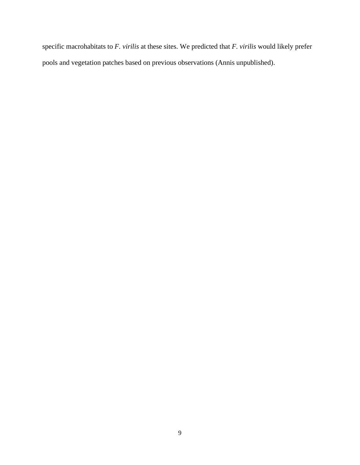specific macrohabitats to *F. virilis* at these sites. We predicted that *F. virilis* would likely prefer pools and vegetation patches based on previous observations (Annis unpublished).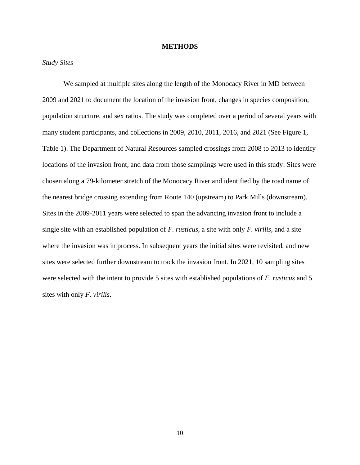#### **METHODS**

#### <span id="page-17-0"></span>*Study Sites*

We sampled at multiple sites along the length of the Monocacy River in MD between 2009 and 2021 to document the location of the invasion front, changes in species composition, population structure, and sex ratios. The study was completed over a period of several years with many student participants, and collections in 2009, 2010, 2011, 2016, and 2021 (See Figure 1, Table 1). The Department of Natural Resources sampled crossings from 2008 to 2013 to identify locations of the invasion front, and data from those samplings were used in this study. Sites were chosen along a 79-kilometer stretch of the Monocacy River and identified by the road name of the nearest bridge crossing extending from Route 140 (upstream) to Park Mills (downstream). Sites in the 2009-2011 years were selected to span the advancing invasion front to include a single site with an established population of *F. rusticus*, a site with only *F. virilis*, and a site where the invasion was in process. In subsequent years the initial sites were revisited, and new sites were selected further downstream to track the invasion front. In 2021, 10 sampling sites were selected with the intent to provide 5 sites with established populations of *F. rusticus* and 5 sites with only *F. virilis*.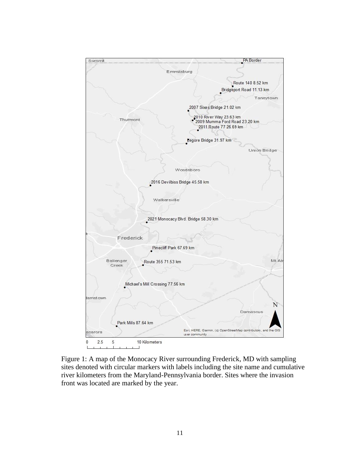

Figure 1: A map of the Monocacy River surrounding Frederick, MD with sampling sites denoted with circular markers with labels including the site name and cumulative river kilometers from the Maryland-Pennsylvania border. Sites where the invasion front was located are marked by the year.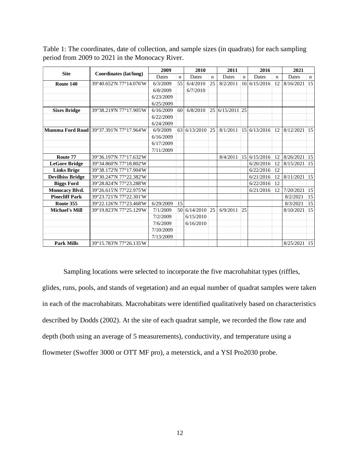|                         |                                                | 2009      |                 | 2010            |             | 2011           |                 | 2016         |             | 2021           |             |
|-------------------------|------------------------------------------------|-----------|-----------------|-----------------|-------------|----------------|-----------------|--------------|-------------|----------------|-------------|
| <b>Site</b>             | Coordinates (lat/long)                         | Dates     | $\mathbf n$     | Dates           | $\mathbf n$ | Dates          | $\mathbf n$     | Dates        | $\mathbf n$ | Dates          | $\mathbf n$ |
| Route 140               | 39°40.652'N 77°14.076'W                        | 6/3/2009  | 55              | 6/4/2010        | 25          | 8/2/2011       | 16              | 6/15/2016    | 12          | 8/16/2021      | 15          |
|                         |                                                | 6/8/2009  |                 | 6/7/2010        |             |                |                 |              |             |                |             |
|                         |                                                | 6/23/2009 |                 |                 |             |                |                 |              |             |                |             |
|                         |                                                | 6/25/2009 |                 |                 |             |                |                 |              |             |                |             |
| <b>Sixes Bridge</b>     | 39°38.219'N 77°17.905'W                        | 6/16/2009 | 60 <sup>1</sup> | 6/8/2010        | 25          | $6/15/2011$ 25 |                 |              |             |                |             |
|                         |                                                | 6/22/2009 |                 |                 |             |                |                 |              |             |                |             |
|                         |                                                | 6/24/2009 |                 |                 |             |                |                 |              |             |                |             |
|                         | <b>Mumma Ford Road</b> 39°37.391'N 77°17.964'W | 6/9/2009  |                 | 63 6/13/2010    | 25          | 8/1/2011       |                 | 15 6/13/2016 | 12          | 8/12/2021      | 15          |
|                         |                                                | 6/16/2009 |                 |                 |             |                |                 |              |             |                |             |
|                         |                                                | 6/17/2009 |                 |                 |             |                |                 |              |             |                |             |
|                         |                                                | 7/11/2009 |                 |                 |             |                |                 |              |             |                |             |
| Route 77                | 39°36.197'N 77°17.632'W                        |           |                 |                 |             | 8/4/2011       | 15 <sup>1</sup> | 6/15/2016    | 12          | $8/26/2021$ 15 |             |
| <b>LeGore Bridge</b>    | 39°34.860'N 77°18.802'W                        |           |                 |                 |             |                |                 | 6/20/2016    | 12          | $8/15/2021$ 15 |             |
| <b>Links Brige</b>      | 39°38.172'N 77°17.904'W                        |           |                 |                 |             |                |                 | 6/22/2016    | 12          |                |             |
| <b>Devilbiss Bridge</b> | 39°30.247'N 77°22.382'W                        |           |                 |                 |             |                |                 | 6/21/2016    | 12          | 8/11/2021 15   |             |
| <b>Biggs Ford</b>       | 39°28.824'N 77°23.288'W                        |           |                 |                 |             |                |                 | 6/22/2016    | 12          |                |             |
| <b>Monocacy Blvd.</b>   | 39°26.615'N 77°22.975'W                        |           |                 |                 |             |                |                 | 6/21/2016    | 12          | 7/20/2021      | 15          |
| <b>Pinecliff Park</b>   | 39°23.721'N 77°22.301'W                        |           |                 |                 |             |                |                 |              |             | 8/2/2021       | 15          |
| Route 355               | 39°22.126'N 77°23.468'W                        | 6/29/2009 | 15              |                 |             |                |                 |              |             | 8/3/2021       | 15          |
| <b>Michael's Mill</b>   | 39°19.823'N 77°25.129'W                        | 7/1/2009  |                 | 50 6/14/2010 25 |             | 6/9/2011       | 25              |              |             | 8/10/2021      | 15          |
|                         |                                                | 7/2/2009  |                 | 6/15/2010       |             |                |                 |              |             |                |             |
|                         |                                                | 7/6/2009  |                 | 6/16/2010       |             |                |                 |              |             |                |             |
|                         |                                                | 7/10/2009 |                 |                 |             |                |                 |              |             |                |             |
|                         |                                                | 7/13/2009 |                 |                 |             |                |                 |              |             |                |             |
| <b>Park Mills</b>       | 39°15.783'N 77°26.135'W                        |           |                 |                 |             |                |                 |              |             | $8/25/2021$ 15 |             |

Table 1: The coordinates, date of collection, and sample sizes (in quadrats) for each sampling period from 2009 to 2021 in the Monocacy River.

Sampling locations were selected to incorporate the five macrohabitat types (riffles, glides, runs, pools, and stands of vegetation) and an equal number of quadrat samples were taken in each of the macrohabitats. Macrohabitats were identified qualitatively based on characteristics described by Dodds (2002). At the site of each quadrat sample, we recorded the flow rate and depth (both using an average of 5 measurements), conductivity, and temperature using a flowmeter (Swoffer 3000 or OTT MF pro), a meterstick, and a YSI Pro2030 probe.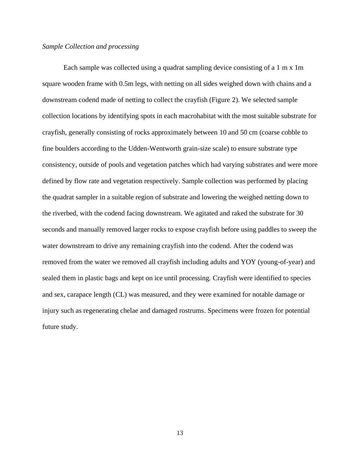### *Sample Collection and processing*

Each sample was collected using a quadrat sampling device consisting of a 1 m x 1m square wooden frame with 0.5m legs, with netting on all sides weighed down with chains and a downstream codend made of netting to collect the crayfish (Figure 2). We selected sample collection locations by identifying spots in each macrohabitat with the most suitable substrate for crayfish, generally consisting of rocks approximately between 10 and 50 cm (coarse cobble to fine boulders according to the Udden-Wentworth grain-size scale) to ensure substrate type consistency, outside of pools and vegetation patches which had varying substrates and were more defined by flow rate and vegetation respectively. Sample collection was performed by placing the quadrat sampler in a suitable region of substrate and lowering the weighed netting down to the riverbed, with the codend facing downstream. We agitated and raked the substrate for 30 seconds and manually removed larger rocks to expose crayfish before using paddles to sweep the water downstream to drive any remaining crayfish into the codend. After the codend was removed from the water we removed all crayfish including adults and YOY (young-of-year) and sealed them in plastic bags and kept on ice until processing. Crayfish were identified to species and sex, carapace length (CL) was measured, and they were examined for notable damage or injury such as regenerating chelae and damaged rostrums. Specimens were frozen for potential future study.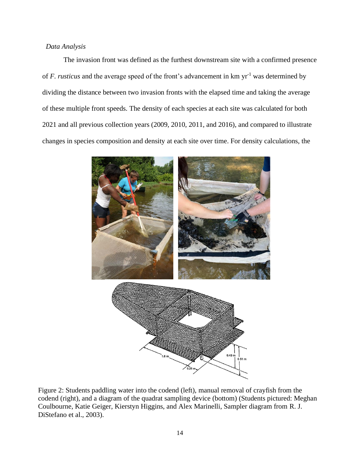### *Data Analysis*

The invasion front was defined as the furthest downstream site with a confirmed presence of *F. rusticus* and the average speed of the front's advancement in km yr<sup>-1</sup> was determined by dividing the distance between two invasion fronts with the elapsed time and taking the average of these multiple front speeds. The density of each species at each site was calculated for both 2021 and all previous collection years (2009, 2010, 2011, and 2016), and compared to illustrate changes in species composition and density at each site over time. For density calculations, the



Figure 2: Students paddling water into the codend (left), manual removal of crayfish from the codend (right), and a diagram of the quadrat sampling device (bottom) (Students pictured: Meghan Coulbourne, Katie Geiger, Kierstyn Higgins, and Alex Marinelli, Sampler diagram from R. J. DiStefano et al., 2003).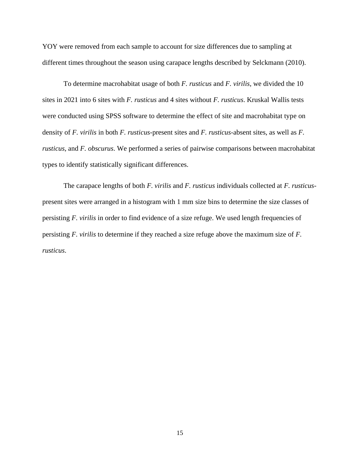YOY were removed from each sample to account for size differences due to sampling at different times throughout the season using carapace lengths described by Selckmann (2010).

To determine macrohabitat usage of both *F. rusticus* and *F. virilis*, we divided the 10 sites in 2021 into 6 sites with *F. rusticus* and 4 sites without *F. rusticus*. Kruskal Wallis tests were conducted using SPSS software to determine the effect of site and macrohabitat type on density of *F. virilis* in both *F. rusticus*-present sites and *F. rusticus*-absent sites, as well as *F. rusticus*, and *F. obscurus*. We performed a series of pairwise comparisons between macrohabitat types to identify statistically significant differences.

The carapace lengths of both *F. virilis* and *F. rusticus* individuals collected at *F. rusticus*present sites were arranged in a histogram with 1 mm size bins to determine the size classes of persisting *F. virilis* in order to find evidence of a size refuge. We used length frequencies of persisting *F. virilis* to determine if they reached a size refuge above the maximum size of *F. rusticus*.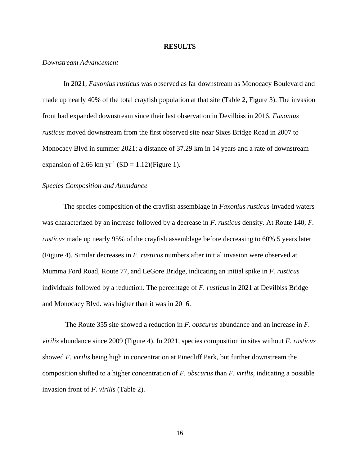#### **RESULTS**

#### <span id="page-23-0"></span>*Downstream Advancement*

In 2021, *Faxonius rusticus* was observed as far downstream as Monocacy Boulevard and made up nearly 40% of the total crayfish population at that site (Table 2, Figure 3). The invasion front had expanded downstream since their last observation in Devilbiss in 2016. *Faxonius rusticus* moved downstream from the first observed site near Sixes Bridge Road in 2007 to Monocacy Blvd in summer 2021; a distance of 37.29 km in 14 years and a rate of downstream expansion of 2.66 km  $yr^{-1}$  (SD = 1.12)(Figure 1).

#### *Species Composition and Abundance*

The species composition of the crayfish assemblage in *Faxonius rusticus*-invaded waters was characterized by an increase followed by a decrease in *F. rusticus* density. At Route 140, *F. rusticus* made up nearly 95% of the crayfish assemblage before decreasing to 60% 5 years later (Figure 4). Similar decreases in *F. rusticus* numbers after initial invasion were observed at Mumma Ford Road, Route 77, and LeGore Bridge, indicating an initial spike in *F. rusticus* individuals followed by a reduction. The percentage of *F. rusticus* in 2021 at Devilbiss Bridge and Monocacy Blvd. was higher than it was in 2016.

The Route 355 site showed a reduction in *F. obscurus* abundance and an increase in *F. virilis* abundance since 2009 (Figure 4). In 2021, species composition in sites without *F. rusticus* showed *F. virilis* being high in concentration at Pinecliff Park, but further downstream the composition shifted to a higher concentration of *F. obscurus* than *F. virilis*, indicating a possible invasion front of *F. virilis* (Table 2).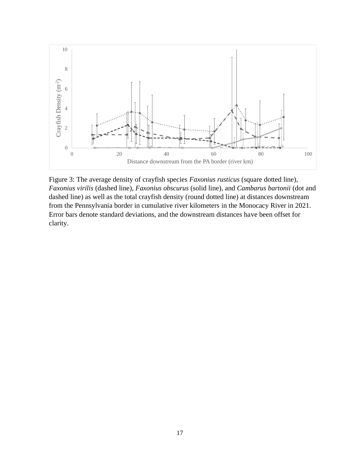

Figure 3: The average density of crayfish species *Faxonius rusticus* (square dotted line), *Faxonius virilis* (dashed line), *Faxonius obscurus* (solid line), and *Cambarus bartonii* (dot and dashed line) as well as the total crayfish density (round dotted line) at distances downstream from the Pennsylvania border in cumulative river kilometers in the Monocacy River in 2021. Error bars denote standard deviations, and the downstream distances have been offset for clarity.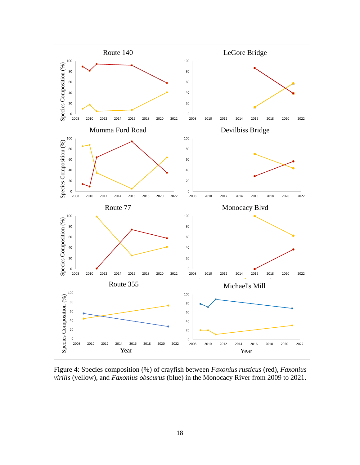

Figure 4: Species composition (%) of crayfish between *Faxonius rusticus* (red), *Faxonius virilis* (yellow), and *Faxonius obscurus* (blue) in the Monocacy River from 2009 to 2021.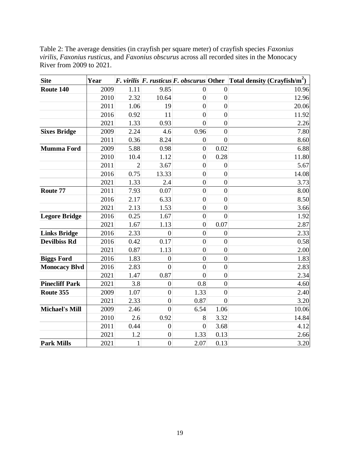| <b>Site</b>           | Year |                |                  |                  |                  | <i>F. virilis F. rusticus F. obscurus</i> Other Total density (Crayfish/m <sup>2</sup> ) |
|-----------------------|------|----------------|------------------|------------------|------------------|------------------------------------------------------------------------------------------|
| Route 140             | 2009 | 1.11           | 9.85             | $\overline{0}$   | $\boldsymbol{0}$ | 10.96                                                                                    |
|                       | 2010 | 2.32           | 10.64            | $\overline{0}$   | $\mathbf{0}$     | 12.96                                                                                    |
|                       | 2011 | 1.06           | 19               | $\boldsymbol{0}$ | $\overline{0}$   | 20.06                                                                                    |
|                       | 2016 | 0.92           | 11               | $\overline{0}$   | $\overline{0}$   | 11.92                                                                                    |
|                       | 2021 | 1.33           | 0.93             | $\overline{0}$   | $\boldsymbol{0}$ | 2.26                                                                                     |
| <b>Sixes Bridge</b>   | 2009 | 2.24           | 4.6              | 0.96             | $\overline{0}$   | 7.80                                                                                     |
|                       | 2011 | 0.36           | 8.24             | $\boldsymbol{0}$ | $\overline{0}$   | 8.60                                                                                     |
| <b>Mumma Ford</b>     | 2009 | 5.88           | 0.98             | $\overline{0}$   | 0.02             | 6.88                                                                                     |
|                       | 2010 | 10.4           | 1.12             | $\overline{0}$   | 0.28             | 11.80                                                                                    |
|                       | 2011 | $\overline{2}$ | 3.67             | $\overline{0}$   | $\mathbf{0}$     | 5.67                                                                                     |
|                       | 2016 | 0.75           | 13.33            | $\overline{0}$   | $\overline{0}$   | 14.08                                                                                    |
|                       | 2021 | 1.33           | 2.4              | $\boldsymbol{0}$ | $\overline{0}$   | 3.73                                                                                     |
| Route 77              | 2011 | 7.93           | 0.07             | $\mathbf{0}$     | $\overline{0}$   | 8.00                                                                                     |
|                       | 2016 | 2.17           | 6.33             | $\overline{0}$   | $\boldsymbol{0}$ | 8.50                                                                                     |
|                       | 2021 | 2.13           | 1.53             | $\mathbf{0}$     | $\overline{0}$   | 3.66                                                                                     |
| <b>Legore Bridge</b>  | 2016 | 0.25           | 1.67             | $\overline{0}$   | $\overline{0}$   | 1.92                                                                                     |
|                       | 2021 | 1.67           | 1.13             | $\boldsymbol{0}$ | 0.07             | 2.87                                                                                     |
| <b>Links Bridge</b>   | 2016 | 2.33           | $\overline{0}$   | $\overline{0}$   | $\boldsymbol{0}$ | 2.33                                                                                     |
| <b>Devilbiss Rd</b>   | 2016 | 0.42           | 0.17             | $\mathbf{0}$     | $\overline{0}$   | 0.58                                                                                     |
|                       | 2021 | 0.87           | 1.13             | $\boldsymbol{0}$ | $\boldsymbol{0}$ | 2.00                                                                                     |
| <b>Biggs Ford</b>     | 2016 | 1.83           | $\overline{0}$   | $\overline{0}$   | $\overline{0}$   | 1.83                                                                                     |
| <b>Monocacy Blvd</b>  | 2016 | 2.83           | $\overline{0}$   | $\overline{0}$   | $\overline{0}$   | 2.83                                                                                     |
|                       | 2021 | 1.47           | 0.87             | $\overline{0}$   | $\boldsymbol{0}$ | 2.34                                                                                     |
| <b>Pinecliff Park</b> | 2021 | 3.8            | $\boldsymbol{0}$ | 0.8              | $\overline{0}$   | 4.60                                                                                     |
| Route 355             | 2009 | 1.07           | $\overline{0}$   | 1.33             | $\overline{0}$   | 2.40                                                                                     |
|                       | 2021 | 2.33           | $\boldsymbol{0}$ | 0.87             | $\overline{0}$   | 3.20                                                                                     |
| <b>Michael's Mill</b> | 2009 | 2.46           | $\overline{0}$   | 6.54             | 1.06             | 10.06                                                                                    |
|                       | 2010 | 2.6            | 0.92             | 8                | 3.32             | 14.84                                                                                    |
|                       | 2011 | 0.44           | $\boldsymbol{0}$ | $\overline{0}$   | 3.68             | 4.12                                                                                     |
|                       | 2021 | 1.2            | $\boldsymbol{0}$ | 1.33             | 0.13             | 2.66                                                                                     |
| <b>Park Mills</b>     | 2021 | 1              | $\overline{0}$   | 2.07             | 0.13             | 3.20                                                                                     |

Table 2: The average densities (in crayfish per square meter) of crayfish species *Faxonius virilis*, *Faxonius rusticus*, and *Faxonius obscurus* across all recorded sites in the Monocacy River from 2009 to 2021.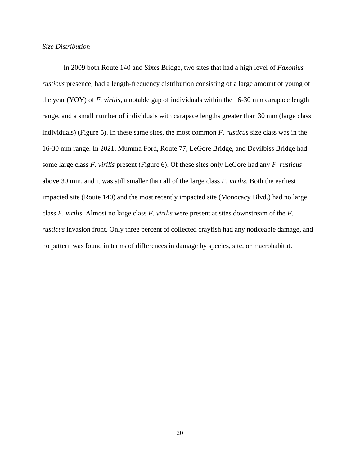#### *Size Distribution*

In 2009 both Route 140 and Sixes Bridge, two sites that had a high level of *Faxonius rusticus* presence, had a length-frequency distribution consisting of a large amount of young of the year (YOY) of *F. virilis*, a notable gap of individuals within the 16-30 mm carapace length range, and a small number of individuals with carapace lengths greater than 30 mm (large class individuals) (Figure 5). In these same sites, the most common *F. rusticus* size class was in the 16-30 mm range. In 2021, Mumma Ford, Route 77, LeGore Bridge, and Devilbiss Bridge had some large class *F. virilis* present (Figure 6). Of these sites only LeGore had any *F. rusticus* above 30 mm, and it was still smaller than all of the large class *F. virilis*. Both the earliest impacted site (Route 140) and the most recently impacted site (Monocacy Blvd.) had no large class *F. virilis*. Almost no large class *F. virilis* were present at sites downstream of the *F. rusticus* invasion front. Only three percent of collected crayfish had any noticeable damage, and no pattern was found in terms of differences in damage by species, site, or macrohabitat.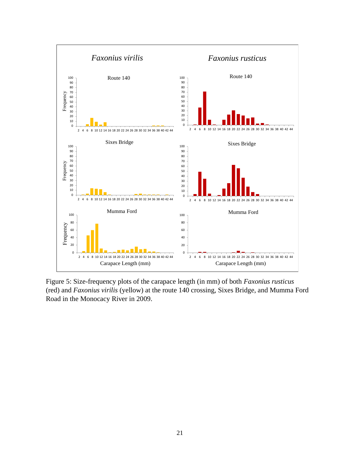

Figure 5: Size-frequency plots of the carapace length (in mm) of both *Faxonius rusticus* (red) and *Faxonius virilis* (yellow) at the route 140 crossing, Sixes Bridge, and Mumma Ford Road in the Monocacy River in 2009.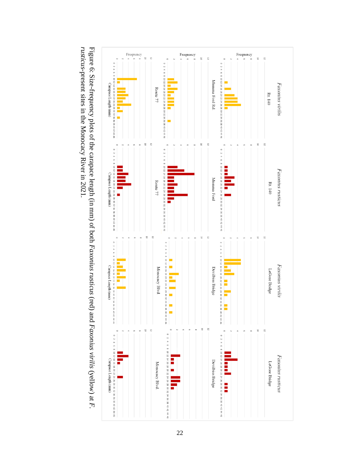

Figure 6: Size-frequency plots of the carapace length (in mm) of both *Faxonius rusticus* Figure 6: Size-frequency plots of the carapace length (in mm) of both *Faxonius rusticus* (red) and *Faxonius virilis* (yellow) at *F*. *Faxonius virilis* (yellow) at *F. rusticus*-present sites in the Monocacy River in 2021. -present sites in the Monocacy River in 2021.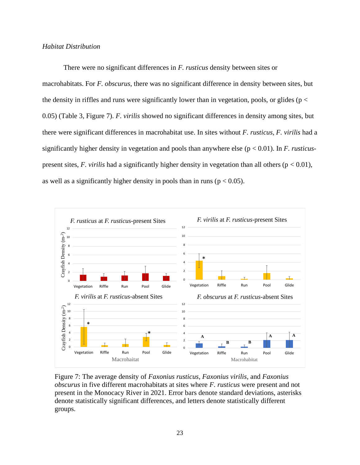#### *Habitat Distribution*

There were no significant differences in *F. rusticus* density between sites or macrohabitats. For *F. obscurus*, there was no significant difference in density between sites, but the density in riffles and runs were significantly lower than in vegetation, pools, or glides ( $p <$ 0.05) (Table 3, Figure 7). *F. virilis* showed no significant differences in density among sites, but there were significant differences in macrohabitat use. In sites without *F. rusticus*, *F. virilis* had a significantly higher density in vegetation and pools than anywhere else (p < 0.01). In *F. rusticus*present sites,  $F$ . *virilis* had a significantly higher density in vegetation than all others ( $p < 0.01$ ), as well as a significantly higher density in pools than in runs ( $p < 0.05$ ).



Figure 7: The average density of *Faxonius rusticus*, *Faxonius virilis*, and *Faxonius obscurus* in five different macrohabitats at sites where *F. rusticus* were present and not present in the Monocacy River in 2021. Error bars denote standard deviations, asterisks denote statistically significant differences, and letters denote statistically different groups.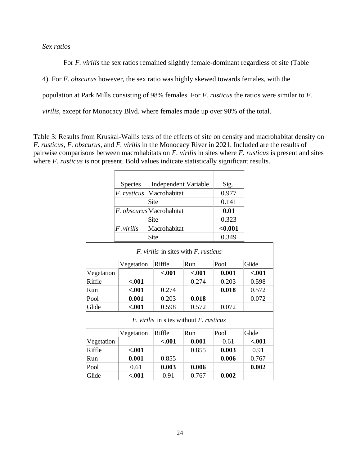## *Sex ratios*

For *F. virilis* the sex ratios remained slightly female-dominant regardless of site (Table

4). For *F. obscurus* however, the sex ratio was highly skewed towards females, with the

population at Park Mills consisting of 98% females. For *F. rusticus* the ratios were similar to *F.* 

*virilis*, except for Monocacy Blvd. where females made up over 90% of the total.

Table 3: Results from Kruskal-Wallis tests of the effects of site on density and macrohabitat density on *F. rusticus*, *F. obscurus*, and *F. virilis* in the Monocacy River in 2021. Included are the results of pairwise comparisons between macrohabitats on *F. virilis* in sites where *F. rusticus* is present and sites where *F. rusticus* is not present. Bold values indicate statistically significant results.

|                                                       | <b>Species</b>                                     | <b>Independent Variable</b> |              |         | Sig.    |         |  |  |
|-------------------------------------------------------|----------------------------------------------------|-----------------------------|--------------|---------|---------|---------|--|--|
|                                                       | F. rusticus                                        | Macrohabitat                |              |         | 0.977   |         |  |  |
|                                                       |                                                    | Site                        |              |         | 0.141   |         |  |  |
|                                                       | F. obscurus Macrohabitat                           |                             |              |         | 0.01    |         |  |  |
|                                                       |                                                    | Site                        |              |         | 0.323   |         |  |  |
|                                                       | F.virilis                                          |                             | Macrohabitat |         | $0.001$ |         |  |  |
|                                                       |                                                    | Site                        |              |         | 0.349   |         |  |  |
|                                                       | <i>F. virilis</i> in sites with <i>F. rusticus</i> |                             |              |         |         |         |  |  |
|                                                       | Vegetation                                         |                             | Riffle       | Run     | Pool    | Glide   |  |  |
| Vegetation                                            |                                                    |                             | $-.001$      | $-.001$ | 0.001   | $-.001$ |  |  |
| Riffle                                                | $-.001$                                            |                             |              | 0.274   | 0.203   | 0.598   |  |  |
| Run                                                   | $-.001$                                            |                             | 0.274        |         | 0.018   | 0.572   |  |  |
| Pool                                                  | 0.001                                              |                             | 0.203        | 0.018   |         | 0.072   |  |  |
| Glide                                                 | $-.001$<br>0.598                                   |                             | 0.572        | 0.072   |         |         |  |  |
| <i>F. virilis</i> in sites without <i>F. rusticus</i> |                                                    |                             |              |         |         |         |  |  |
|                                                       | Vegetation                                         |                             | Riffle       | Run     | Pool    | Glide   |  |  |
| Vegetation                                            |                                                    |                             | $-.001$      | 0.001   | 0.61    | $-.001$ |  |  |
| Riffle                                                | $-.001$                                            |                             |              | 0.855   | 0.003   | 0.91    |  |  |
| Run                                                   | 0.001                                              |                             | 0.855        |         | 0.006   | 0.767   |  |  |
| Pool                                                  | 0.61                                               |                             | 0.003        | 0.006   |         | 0.002   |  |  |
| Glide                                                 | $-.001$                                            |                             | 0.91         | 0.767   | 0.002   |         |  |  |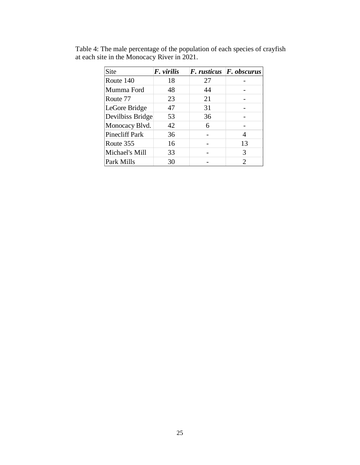| Site                  | F. virilis |    | F. rusticus F. obscurus |
|-----------------------|------------|----|-------------------------|
| Route 140             | 18         | 27 |                         |
| Mumma Ford            | 48         | 44 |                         |
| Route 77              | 23         | 21 |                         |
| LeGore Bridge         | 47         | 31 |                         |
| Devilbiss Bridge      | 53         | 36 |                         |
| Monocacy Blvd.        | 42         | 6  |                         |
| <b>Pinecliff Park</b> | 36         |    | 4                       |
| Route 355             | 16         |    | 13                      |
| Michael's Mill        | 33         |    | 3                       |
| Park Mills            | 30         |    | 2                       |

Table 4: The male percentage of the population of each species of crayfish at each site in the Monocacy River in 2021.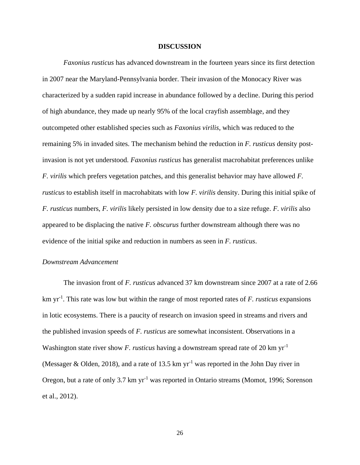#### **DISCUSSION**

<span id="page-33-0"></span>*Faxonius rusticus* has advanced downstream in the fourteen years since its first detection in 2007 near the Maryland-Pennsylvania border. Their invasion of the Monocacy River was characterized by a sudden rapid increase in abundance followed by a decline. During this period of high abundance, they made up nearly 95% of the local crayfish assemblage, and they outcompeted other established species such as *Faxonius virilis*, which was reduced to the remaining 5% in invaded sites. The mechanism behind the reduction in *F. rusticus* density postinvasion is not yet understood*. Faxonius rusticus* has generalist macrohabitat preferences unlike *F. virilis* which prefers vegetation patches, and this generalist behavior may have allowed *F. rusticus* to establish itself in macrohabitats with low *F. virilis* density. During this initial spike of *F. rusticus* numbers, *F. virilis* likely persisted in low density due to a size refuge. *F. virilis* also appeared to be displacing the native *F. obscurus* further downstream although there was no evidence of the initial spike and reduction in numbers as seen in *F. rusticus*.

### *Downstream Advancement*

The invasion front of *F. rusticus* advanced 37 km downstream since 2007 at a rate of 2.66 km yr-1 . This rate was low but within the range of most reported rates of *F. rusticus* expansions in lotic ecosystems. There is a paucity of research on invasion speed in streams and rivers and the published invasion speeds of *F. rusticus* are somewhat inconsistent. Observations in a Washington state river show *F. rusticus* having a downstream spread rate of 20 km yr<sup>-1</sup> (Messager & Olden, 2018), and a rate of 13.5 km  $yr^{-1}$  was reported in the John Day river in Oregon, but a rate of only 3.7 km yr<sup>-1</sup> was reported in Ontario streams (Momot, 1996; Sorenson et al., 2012).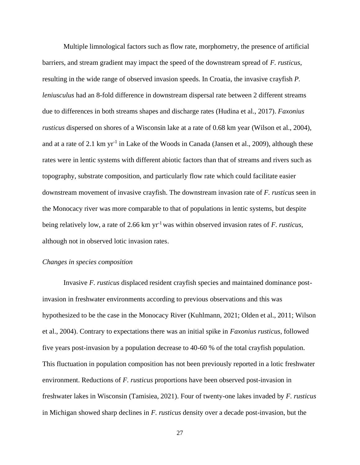Multiple limnological factors such as flow rate, morphometry, the presence of artificial barriers, and stream gradient may impact the speed of the downstream spread of *F. rusticus*, resulting in the wide range of observed invasion speeds. In Croatia, the invasive crayfish *P. leniusculus* had an 8-fold difference in downstream dispersal rate between 2 different streams due to differences in both streams shapes and discharge rates (Hudina et al., 2017). *Faxonius rusticus* dispersed on shores of a Wisconsin lake at a rate of 0.68 km year (Wilson et al., 2004), and at a rate of 2.1 km  $yr^{-1}$  in Lake of the Woods in Canada (Jansen et al., 2009), although these rates were in lentic systems with different abiotic factors than that of streams and rivers such as topography, substrate composition, and particularly flow rate which could facilitate easier downstream movement of invasive crayfish. The downstream invasion rate of *F. rusticus* seen in the Monocacy river was more comparable to that of populations in lentic systems, but despite being relatively low, a rate of 2.66 km yr-1 was within observed invasion rates of *F. rusticus,*  although not in observed lotic invasion rates.

#### *Changes in species composition*

Invasive *F. rusticus* displaced resident crayfish species and maintained dominance postinvasion in freshwater environments according to previous observations and this was hypothesized to be the case in the Monocacy River (Kuhlmann, 2021; Olden et al., 2011; Wilson et al., 2004). Contrary to expectations there was an initial spike in *Faxonius rusticus*, followed five years post-invasion by a population decrease to 40-60 % of the total crayfish population. This fluctuation in population composition has not been previously reported in a lotic freshwater environment. Reductions of *F. rusticus* proportions have been observed post-invasion in freshwater lakes in Wisconsin (Tamisiea, 2021). Four of twenty-one lakes invaded by *F. rusticus* in Michigan showed sharp declines in *F. rusticus* density over a decade post-invasion, but the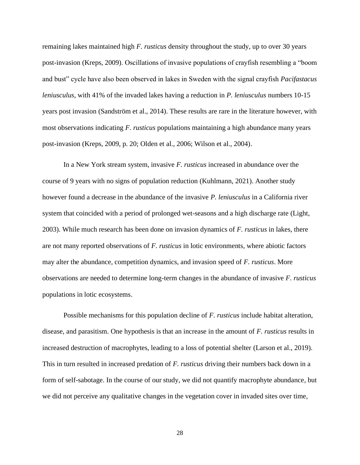remaining lakes maintained high *F. rusticus* density throughout the study, up to over 30 years post-invasion (Kreps, 2009). Oscillations of invasive populations of crayfish resembling a "boom and bust" cycle have also been observed in lakes in Sweden with the signal crayfish *Pacifastacus leniusculus*, with 41% of the invaded lakes having a reduction in *P. leniusculus* numbers 10-15 years post invasion (Sandström et al., 2014). These results are rare in the literature however, with most observations indicating *F. rusticus* populations maintaining a high abundance many years post-invasion (Kreps, 2009, p. 20; Olden et al., 2006; Wilson et al., 2004).

In a New York stream system, invasive *F. rusticus* increased in abundance over the course of 9 years with no signs of population reduction (Kuhlmann, 2021). Another study however found a decrease in the abundance of the invasive *P. leniusculus* in a California river system that coincided with a period of prolonged wet-seasons and a high discharge rate (Light, 2003). While much research has been done on invasion dynamics of *F. rusticus* in lakes, there are not many reported observations of *F. rusticus* in lotic environments, where abiotic factors may alter the abundance, competition dynamics, and invasion speed of *F. rusticus*. More observations are needed to determine long-term changes in the abundance of invasive *F. rusticus* populations in lotic ecosystems.

Possible mechanisms for this population decline of *F. rusticus* include habitat alteration, disease, and parasitism. One hypothesis is that an increase in the amount of *F. rusticus* results in increased destruction of macrophytes, leading to a loss of potential shelter (Larson et al., 2019). This in turn resulted in increased predation of *F. rusticus* driving their numbers back down in a form of self-sabotage. In the course of our study, we did not quantify macrophyte abundance, but we did not perceive any qualitative changes in the vegetation cover in invaded sites over time,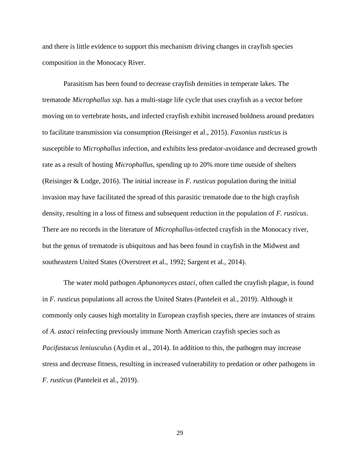and there is little evidence to support this mechanism driving changes in crayfish species composition in the Monocacy River.

Parasitism has been found to decrease crayfish densities in temperate lakes. The trematode *Microphallus ssp.* has a multi-stage life cycle that uses crayfish as a vector before moving on to vertebrate hosts, and infected crayfish exhibit increased boldness around predators to facilitate transmission via consumption (Reisinger et al., 2015). *Faxonius rusticus* is susceptible to *Microphallus* infection, and exhibits less predator-avoidance and decreased growth rate as a result of hosting *Microphallus*, spending up to 20% more time outside of shelters (Reisinger & Lodge, 2016). The initial increase in *F. rusticus* population during the initial invasion may have facilitated the spread of this parasitic trematode due to the high crayfish density, resulting in a loss of fitness and subsequent reduction in the population of *F. rusticus*. There are no records in the literature of *Microphallus*-infected crayfish in the Monocacy river, but the genus of trematode is ubiquitous and has been found in crayfish in the Midwest and southeastern United States (Overstreet et al., 1992; Sargent et al., 2014).

The water mold pathogen *Aphanomyces astaci*, often called the crayfish plague, is found in *F. rusticus* populations all across the United States (Panteleit et al., 2019). Although it commonly only causes high mortality in European crayfish species, there are instances of strains of *A. astaci* reinfecting previously immune North American crayfish species such as *Pacifastacus leniusculus* (Aydin et al., 2014). In addition to this, the pathogen may increase stress and decrease fitness, resulting in increased vulnerability to predation or other pathogens in *F. rusticus* (Panteleit et al., 2019).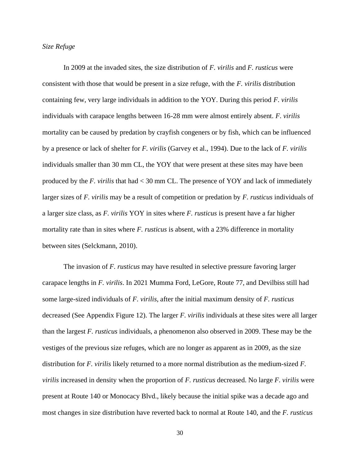#### *Size Refuge*

In 2009 at the invaded sites, the size distribution of *F. virilis* and *F. rusticus* were consistent with those that would be present in a size refuge, with the *F. virilis* distribution containing few, very large individuals in addition to the YOY. During this period *F. virilis* individuals with carapace lengths between 16-28 mm were almost entirely absent. *F. virilis* mortality can be caused by predation by crayfish congeners or by fish, which can be influenced by a presence or lack of shelter for *F. virilis* (Garvey et al., 1994). Due to the lack of *F. virilis* individuals smaller than 30 mm CL, the YOY that were present at these sites may have been produced by the *F. virilis* that had < 30 mm CL. The presence of YOY and lack of immediately larger sizes of *F. virilis* may be a result of competition or predation by *F. rusticus* individuals of a larger size class, as *F. virilis* YOY in sites where *F. rusticus* is present have a far higher mortality rate than in sites where *F. rusticus* is absent, with a 23% difference in mortality between sites (Selckmann, 2010).

The invasion of *F. rusticus* may have resulted in selective pressure favoring larger carapace lengths in *F. virilis*. In 2021 Mumma Ford, LeGore, Route 77, and Devilbiss still had some large-sized individuals of *F. virilis*, after the initial maximum density of *F. rusticus* decreased (See Appendix Figure 12). The larger *F. virilis* individuals at these sites were all larger than the largest *F. rusticus* individuals, a phenomenon also observed in 2009. These may be the vestiges of the previous size refuges, which are no longer as apparent as in 2009, as the size distribution for *F. virilis* likely returned to a more normal distribution as the medium-sized *F. virilis* increased in density when the proportion of *F. rusticus* decreased. No large *F. virilis* were present at Route 140 or Monocacy Blvd., likely because the initial spike was a decade ago and most changes in size distribution have reverted back to normal at Route 140, and the *F. rusticus*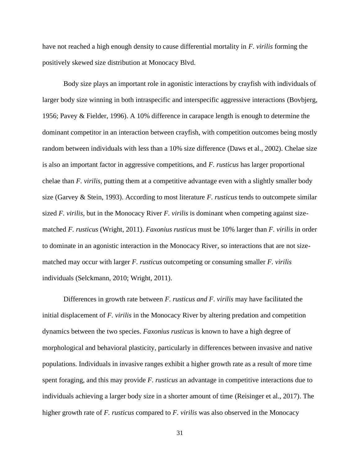have not reached a high enough density to cause differential mortality in *F. virilis* forming the positively skewed size distribution at Monocacy Blvd.

Body size plays an important role in agonistic interactions by crayfish with individuals of larger body size winning in both intraspecific and interspecific aggressive interactions (Bovbjerg, 1956; Pavey & Fielder, 1996). A 10% difference in carapace length is enough to determine the dominant competitor in an interaction between crayfish, with competition outcomes being mostly random between individuals with less than a 10% size difference (Daws et al., 2002). Chelae size is also an important factor in aggressive competitions, and *F. rusticus* has larger proportional chelae than *F. virilis*, putting them at a competitive advantage even with a slightly smaller body size (Garvey & Stein, 1993). According to most literature *F. rusticus* tends to outcompete similar sized *F. virilis*, but in the Monocacy River *F. virilis* is dominant when competing against sizematched *F. rusticus* (Wright, 2011). *Faxonius rusticus* must be 10% larger than *F. virilis* in order to dominate in an agonistic interaction in the Monocacy River, so interactions that are not sizematched may occur with larger *F. rusticus* outcompeting or consuming smaller *F. virilis* individuals (Selckmann, 2010; Wright, 2011).

Differences in growth rate between *F. rusticus and F. virilis* may have facilitated the initial displacement of *F. virilis* in the Monocacy River by altering predation and competition dynamics between the two species. *Faxonius rusticus* is known to have a high degree of morphological and behavioral plasticity, particularly in differences between invasive and native populations. Individuals in invasive ranges exhibit a higher growth rate as a result of more time spent foraging, and this may provide *F. rusticus* an advantage in competitive interactions due to individuals achieving a larger body size in a shorter amount of time (Reisinger et al., 2017). The higher growth rate of *F. rusticus* compared to *F. virilis* was also observed in the Monocacy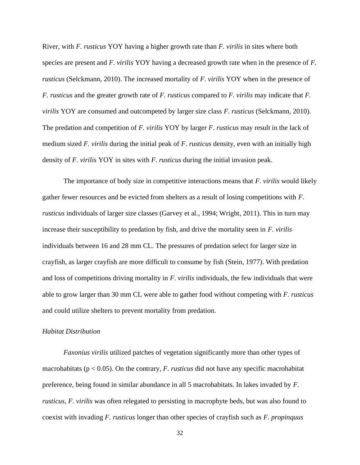River, with *F. rusticus* YOY having a higher growth rate than *F. virilis* in sites where both species are present and *F. virilis* YOY having a decreased growth rate when in the presence of *F. rusticus* (Selckmann, 2010). The increased mortality of *F. virilis* YOY when in the presence of *F. rusticus* and the greater growth rate of *F. rusticus* compared to *F. virilis* may indicate that *F. virilis* YOY are consumed and outcompeted by larger size class *F. rusticus* (Selckmann, 2010). The predation and competition of *F. virilis* YOY by larger *F. rusticus* may result in the lack of medium sized *F. virilis* during the initial peak of *F*. *rusticus* density, even with an initially high density of *F. virilis* YOY in sites with *F. rusticus* during the initial invasion peak.

The importance of body size in competitive interactions means that *F. virilis* would likely gather fewer resources and be evicted from shelters as a result of losing competitions with *F. rusticus* individuals of larger size classes (Garvey et al., 1994; Wright, 2011). This in turn may increase their susceptibility to predation by fish, and drive the mortality seen in *F. virilis* individuals between 16 and 28 mm CL. The pressures of predation select for larger size in crayfish, as larger crayfish are more difficult to consume by fish (Stein, 1977). With predation and loss of competitions driving mortality in *F. virilis* individuals, the few individuals that were able to grow larger than 30 mm CL were able to gather food without competing with *F. rusticus* and could utilize shelters to prevent mortality from predation.

#### *Habitat Distribution*

*Faxonius virilis* utilized patches of vegetation significantly more than other types of macrohabitats ( $p < 0.05$ ). On the contrary, *F. rusticus* did not have any specific macrohabitat preference, being found in similar abundance in all 5 macrohabitats. In lakes invaded by *F. rusticus*, *F. virilis* was often relegated to persisting in macrophyte beds, but was also found to coexist with invading *F. rusticus* longer than other species of crayfish such as *F. propinquus*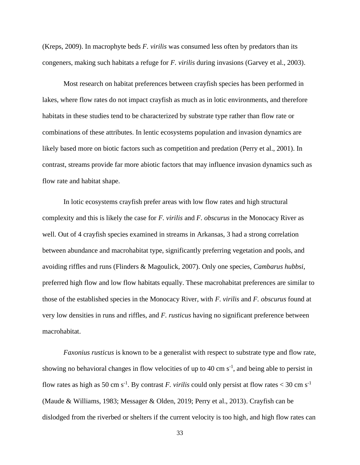(Kreps, 2009). In macrophyte beds *F. virilis* was consumed less often by predators than its congeners, making such habitats a refuge for *F. virilis* during invasions (Garvey et al., 2003).

Most research on habitat preferences between crayfish species has been performed in lakes, where flow rates do not impact crayfish as much as in lotic environments, and therefore habitats in these studies tend to be characterized by substrate type rather than flow rate or combinations of these attributes. In lentic ecosystems population and invasion dynamics are likely based more on biotic factors such as competition and predation (Perry et al., 2001). In contrast, streams provide far more abiotic factors that may influence invasion dynamics such as flow rate and habitat shape.

In lotic ecosystems crayfish prefer areas with low flow rates and high structural complexity and this is likely the case for *F. virilis* and *F. obscurus* in the Monocacy River as well. Out of 4 crayfish species examined in streams in Arkansas, 3 had a strong correlation between abundance and macrohabitat type, significantly preferring vegetation and pools, and avoiding riffles and runs (Flinders & Magoulick, 2007). Only one species, *Cambarus hubbsi*, preferred high flow and low flow habitats equally. These macrohabitat preferences are similar to those of the established species in the Monocacy River, with *F. virilis* and *F. obscurus* found at very low densities in runs and riffles, and *F. rusticus* having no significant preference between macrohabitat.

*Faxonius rusticus* is known to be a generalist with respect to substrate type and flow rate, showing no behavioral changes in flow velocities of up to 40 cm  $s^{-1}$ , and being able to persist in flow rates as high as 50 cm s<sup>-1</sup>. By contrast *F. virilis* could only persist at flow rates < 30 cm s<sup>-1</sup> (Maude & Williams, 1983; Messager & Olden, 2019; Perry et al., 2013). Crayfish can be dislodged from the riverbed or shelters if the current velocity is too high, and high flow rates can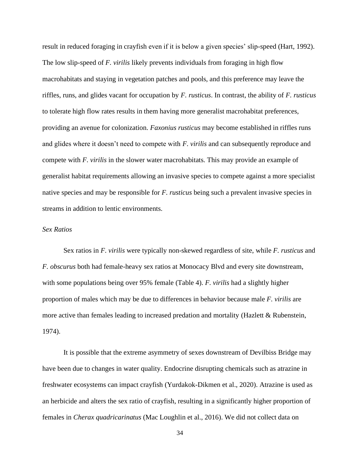result in reduced foraging in crayfish even if it is below a given species' slip-speed (Hart, 1992). The low slip-speed of *F. virilis* likely prevents individuals from foraging in high flow macrohabitats and staying in vegetation patches and pools, and this preference may leave the riffles, runs, and glides vacant for occupation by *F. rusticus*. In contrast, the ability of *F. rusticus* to tolerate high flow rates results in them having more generalist macrohabitat preferences, providing an avenue for colonization. *Faxonius rusticus* may become established in riffles runs and glides where it doesn't need to compete with *F. virilis* and can subsequently reproduce and compete with *F. virilis* in the slower water macrohabitats. This may provide an example of generalist habitat requirements allowing an invasive species to compete against a more specialist native species and may be responsible for *F. rusticus* being such a prevalent invasive species in streams in addition to lentic environments.

#### *Sex Ratios*

Sex ratios in *F. virilis* were typically non-skewed regardless of site, while *F. rusticus* and *F. obscurus* both had female-heavy sex ratios at Monocacy Blvd and every site downstream, with some populations being over 95% female (Table 4). *F. virilis* had a slightly higher proportion of males which may be due to differences in behavior because male *F. virilis* are more active than females leading to increased predation and mortality (Hazlett & Rubenstein, 1974).

It is possible that the extreme asymmetry of sexes downstream of Devilbiss Bridge may have been due to changes in water quality. Endocrine disrupting chemicals such as atrazine in freshwater ecosystems can impact crayfish (Yurdakok-Dikmen et al., 2020). Atrazine is used as an herbicide and alters the sex ratio of crayfish, resulting in a significantly higher proportion of females in *Cherax quadricarinatus* (Mac Loughlin et al., 2016). We did not collect data on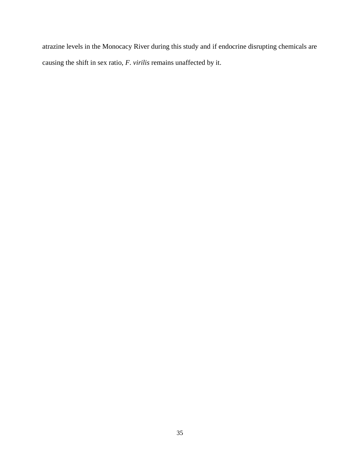atrazine levels in the Monocacy River during this study and if endocrine disrupting chemicals are causing the shift in sex ratio, *F. virilis* remains unaffected by it.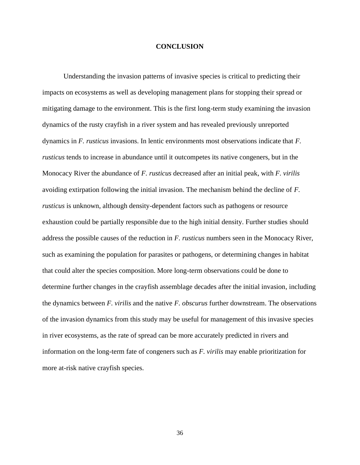#### **CONCLUSION**

<span id="page-43-0"></span>Understanding the invasion patterns of invasive species is critical to predicting their impacts on ecosystems as well as developing management plans for stopping their spread or mitigating damage to the environment. This is the first long-term study examining the invasion dynamics of the rusty crayfish in a river system and has revealed previously unreported dynamics in *F. rusticus* invasions. In lentic environments most observations indicate that *F. rusticus* tends to increase in abundance until it outcompetes its native congeners, but in the Monocacy River the abundance of *F. rusticus* decreased after an initial peak, with *F. virilis* avoiding extirpation following the initial invasion. The mechanism behind the decline of *F. rusticus* is unknown, although density-dependent factors such as pathogens or resource exhaustion could be partially responsible due to the high initial density. Further studies should address the possible causes of the reduction in *F. rusticus* numbers seen in the Monocacy River, such as examining the population for parasites or pathogens, or determining changes in habitat that could alter the species composition. More long-term observations could be done to determine further changes in the crayfish assemblage decades after the initial invasion, including the dynamics between *F. virilis* and the native *F. obscurus* further downstream. The observations of the invasion dynamics from this study may be useful for management of this invasive species in river ecosystems, as the rate of spread can be more accurately predicted in rivers and information on the long-term fate of congeners such as *F. virilis* may enable prioritization for more at-risk native crayfish species.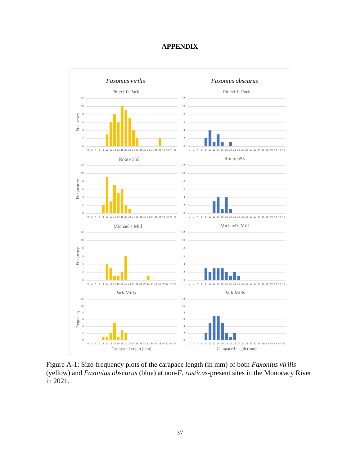## **APPENDIX**

<span id="page-44-0"></span>

Figure A-1: Size-frequency plots of the carapace length (in mm) of both *Faxonius virilis* (yellow) and *Faxonius obscurus* (blue) at non-*F. rusticus*-present sites in the Monocacy River in 2021.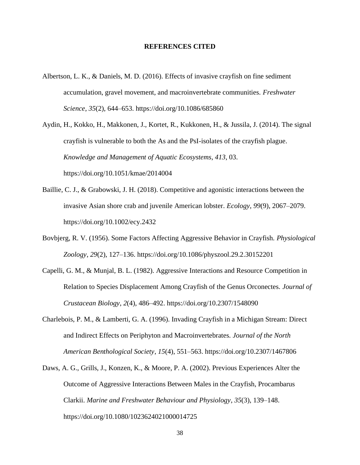#### **REFERENCES CITED**

- <span id="page-45-0"></span>Albertson, L. K., & Daniels, M. D. (2016). Effects of invasive crayfish on fine sediment accumulation, gravel movement, and macroinvertebrate communities. *Freshwater Science*, *35*(2), 644–653. https://doi.org/10.1086/685860
- Aydin, H., Kokko, H., Makkonen, J., Kortet, R., Kukkonen, H., & Jussila, J. (2014). The signal crayfish is vulnerable to both the As and the PsI-isolates of the crayfish plague. *Knowledge and Management of Aquatic Ecosystems*, *413*, 03. https://doi.org/10.1051/kmae/2014004
- Baillie, C. J., & Grabowski, J. H. (2018). Competitive and agonistic interactions between the invasive Asian shore crab and juvenile American lobster. *Ecology*, *99*(9), 2067–2079. https://doi.org/10.1002/ecy.2432
- Bovbjerg, R. V. (1956). Some Factors Affecting Aggressive Behavior in Crayfish. *Physiological Zoology*, *29*(2), 127–136. https://doi.org/10.1086/physzool.29.2.30152201
- Capelli, G. M., & Munjal, B. L. (1982). Aggressive Interactions and Resource Competition in Relation to Species Displacement Among Crayfish of the Genus Orconectes. *Journal of Crustacean Biology*, *2*(4), 486–492. https://doi.org/10.2307/1548090
- Charlebois, P. M., & Lamberti, G. A. (1996). Invading Crayfish in a Michigan Stream: Direct and Indirect Effects on Periphyton and Macroinvertebrates. *Journal of the North American Benthological Society*, *15*(4), 551–563. https://doi.org/10.2307/1467806
- Daws, A. G., Grills, J., Konzen, K., & Moore, P. A. (2002). Previous Experiences Alter the Outcome of Aggressive Interactions Between Males in the Crayfish, Procambarus Clarkii. *Marine and Freshwater Behaviour and Physiology*, *35*(3), 139–148. https://doi.org/10.1080/1023624021000014725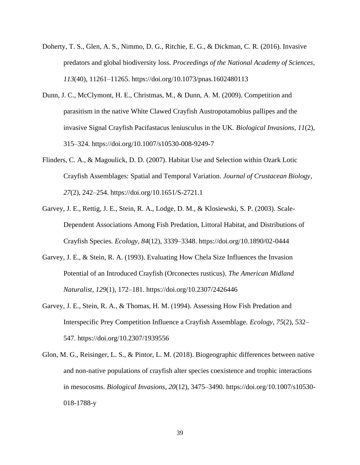- Doherty, T. S., Glen, A. S., Nimmo, D. G., Ritchie, E. G., & Dickman, C. R. (2016). Invasive predators and global biodiversity loss. *Proceedings of the National Academy of Sciences*, *113*(40), 11261–11265. https://doi.org/10.1073/pnas.1602480113
- Dunn, J. C., McClymont, H. E., Christmas, M., & Dunn, A. M. (2009). Competition and parasitism in the native White Clawed Crayfish Austropotamobius pallipes and the invasive Signal Crayfish Pacifastacus leniusculus in the UK. *Biological Invasions*, *11*(2), 315–324. https://doi.org/10.1007/s10530-008-9249-7
- Flinders, C. A., & Magoulick, D. D. (2007). Habitat Use and Selection within Ozark Lotic Crayfish Assemblages: Spatial and Temporal Variation. *Journal of Crustacean Biology*, *27*(2), 242–254. https://doi.org/10.1651/S-2721.1
- Garvey, J. E., Rettig, J. E., Stein, R. A., Lodge, D. M., & Klosiewski, S. P. (2003). Scale-Dependent Associations Among Fish Predation, Littoral Habitat, and Distributions of Crayfish Species. *Ecology*, *84*(12), 3339–3348. https://doi.org/10.1890/02-0444
- Garvey, J. E., & Stein, R. A. (1993). Evaluating How Chela Size Influences the Invasion Potential of an Introduced Crayfish (Orconectes rusticus). *The American Midland Naturalist*, *129*(1), 172–181. https://doi.org/10.2307/2426446
- Garvey, J. E., Stein, R. A., & Thomas, H. M. (1994). Assessing How Fish Predation and Interspecific Prey Competition Influence a Crayfish Assemblage. *Ecology*, *75*(2), 532– 547. https://doi.org/10.2307/1939556
- Glon, M. G., Reisinger, L. S., & Pintor, L. M. (2018). Biogeographic differences between native and non-native populations of crayfish alter species coexistence and trophic interactions in mesocosms. *Biological Invasions*, *20*(12), 3475–3490. https://doi.org/10.1007/s10530- 018-1788-y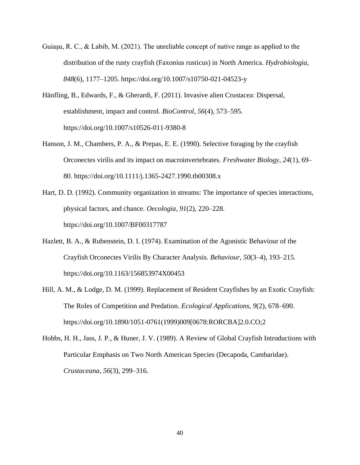- Guiaşu, R. C., & Labib, M. (2021). The unreliable concept of native range as applied to the distribution of the rusty crayfish (Faxonius rusticus) in North America. *Hydrobiologia*, *848*(6), 1177–1205. https://doi.org/10.1007/s10750-021-04523-y
- Hänfling, B., Edwards, F., & Gherardi, F. (2011). Invasive alien Crustacea: Dispersal, establishment, impact and control. *BioControl*, *56*(4), 573–595. https://doi.org/10.1007/s10526-011-9380-8
- Hanson, J. M., Chambers, P. A., & Prepas, E. E. (1990). Selective foraging by the crayfish Orconectes virilis and its impact on macroinvertebrates. *Freshwater Biology*, *24*(1), 69– 80. https://doi.org/10.1111/j.1365-2427.1990.tb00308.x
- Hart, D. D. (1992). Community organization in streams: The importance of species interactions, physical factors, and chance. *Oecologia*, *91*(2), 220–228. https://doi.org/10.1007/BF00317787
- Hazlett, B. A., & Rubenstein, D. I. (1974). Examination of the Agonistic Behaviour of the Crayfish Orconectes Virilis By Character Analysis. *Behaviour*, *50*(3–4), 193–215. https://doi.org/10.1163/156853974X00453
- Hill, A. M., & Lodge, D. M. (1999). Replacement of Resident Crayfishes by an Exotic Crayfish: The Roles of Competition and Predation. *Ecological Applications*, *9*(2), 678–690. https://doi.org/10.1890/1051-0761(1999)009[0678:RORCBA]2.0.CO;2
- Hobbs, H. H., Jass, J. P., & Huner, J. V. (1989). A Review of Global Crayfish Introductions with Particular Emphasis on Two North American Species (Decapoda, Cambaridae). *Crustaceana*, *56*(3), 299–316.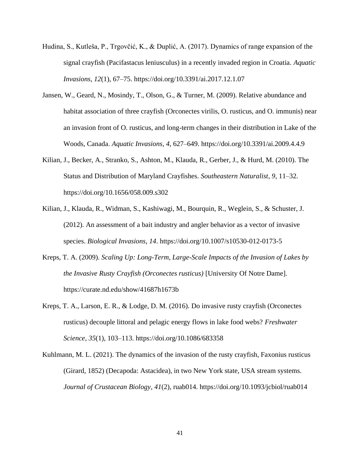- Hudina, S., Kutleša, P., Trgovčić, K., & Duplić, A. (2017). Dynamics of range expansion of the signal crayfish (Pacifastacus leniusculus) in a recently invaded region in Croatia. *Aquatic Invasions*, *12*(1), 67–75. https://doi.org/10.3391/ai.2017.12.1.07
- Jansen, W., Geard, N., Mosindy, T., Olson, G., & Turner, M. (2009). Relative abundance and habitat association of three crayfish (Orconectes virilis, O. rusticus, and O. immunis) near an invasion front of O. rusticus, and long-term changes in their distribution in Lake of the Woods, Canada. *Aquatic Invasions*, *4*, 627–649. https://doi.org/10.3391/ai.2009.4.4.9
- Kilian, J., Becker, A., Stranko, S., Ashton, M., Klauda, R., Gerber, J., & Hurd, M. (2010). The Status and Distribution of Maryland Crayfishes. *Southeastern Naturalist*, *9*, 11–32. https://doi.org/10.1656/058.009.s302
- Kilian, J., Klauda, R., Widman, S., Kashiwagi, M., Bourquin, R., Weglein, S., & Schuster, J. (2012). An assessment of a bait industry and angler behavior as a vector of invasive species. *Biological Invasions*, *14*. https://doi.org/10.1007/s10530-012-0173-5
- Kreps, T. A. (2009). *Scaling Up: Long-Term, Large-Scale Impacts of the Invasion of Lakes by the Invasive Rusty Crayfish (Orconectes rusticus)* [University Of Notre Dame]. https://curate.nd.edu/show/41687h1673b
- Kreps, T. A., Larson, E. R., & Lodge, D. M. (2016). Do invasive rusty crayfish (Orconectes rusticus) decouple littoral and pelagic energy flows in lake food webs? *Freshwater Science*, *35*(1), 103–113. https://doi.org/10.1086/683358
- Kuhlmann, M. L. (2021). The dynamics of the invasion of the rusty crayfish, Faxonius rusticus (Girard, 1852) (Decapoda: Astacidea), in two New York state, USA stream systems. *Journal of Crustacean Biology*, *41*(2), ruab014. https://doi.org/10.1093/jcbiol/ruab014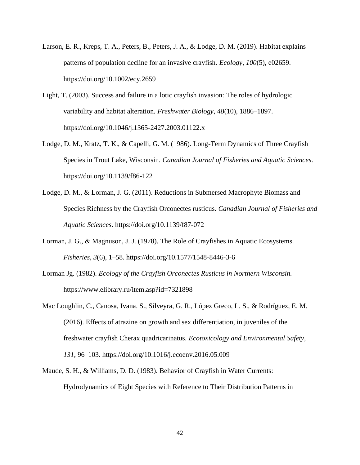- Larson, E. R., Kreps, T. A., Peters, B., Peters, J. A., & Lodge, D. M. (2019). Habitat explains patterns of population decline for an invasive crayfish. *Ecology*, *100*(5), e02659. https://doi.org/10.1002/ecy.2659
- Light, T. (2003). Success and failure in a lotic crayfish invasion: The roles of hydrologic variability and habitat alteration. *Freshwater Biology*, *48*(10), 1886–1897. https://doi.org/10.1046/j.1365-2427.2003.01122.x
- Lodge, D. M., Kratz, T. K., & Capelli, G. M. (1986). Long-Term Dynamics of Three Crayfish Species in Trout Lake, Wisconsin. *Canadian Journal of Fisheries and Aquatic Sciences*. https://doi.org/10.1139/f86-122
- Lodge, D. M., & Lorman, J. G. (2011). Reductions in Submersed Macrophyte Biomass and Species Richness by the Crayfish Orconectes rusticus. *Canadian Journal of Fisheries and Aquatic Sciences*. https://doi.org/10.1139/f87-072
- Lorman, J. G., & Magnuson, J. J. (1978). The Role of Crayfishes in Aquatic Ecosystems. *Fisheries*, *3*(6), 1–58. https://doi.org/10.1577/1548-8446-3-6
- Lorman Jg. (1982). *Ecology of the Crayfish Orconectes Rusticus in Northern Wisconsin.* https://www.elibrary.ru/item.asp?id=7321898
- Mac Loughlin, C., Canosa, Ivana. S., Silveyra, G. R., López Greco, L. S., & Rodríguez, E. M. (2016). Effects of atrazine on growth and sex differentiation, in juveniles of the freshwater crayfish Cherax quadricarinatus. *Ecotoxicology and Environmental Safety*, *131*, 96–103. https://doi.org/10.1016/j.ecoenv.2016.05.009
- Maude, S. H., & Williams, D. D. (1983). Behavior of Crayfish in Water Currents: Hydrodynamics of Eight Species with Reference to Their Distribution Patterns in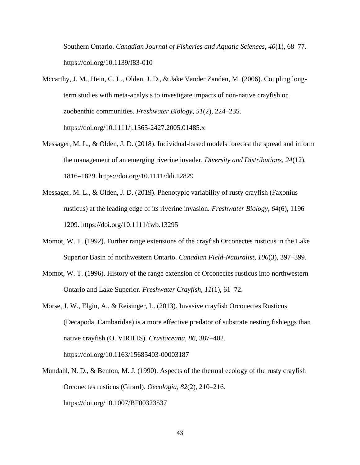Southern Ontario. *Canadian Journal of Fisheries and Aquatic Sciences*, *40*(1), 68–77. https://doi.org/10.1139/f83-010

- Mccarthy, J. M., Hein, C. L., Olden, J. D., & Jake Vander Zanden, M. (2006). Coupling longterm studies with meta-analysis to investigate impacts of non-native crayfish on zoobenthic communities. *Freshwater Biology*, *51*(2), 224–235. https://doi.org/10.1111/j.1365-2427.2005.01485.x
- Messager, M. L., & Olden, J. D. (2018). Individual-based models forecast the spread and inform the management of an emerging riverine invader. *Diversity and Distributions*, *24*(12), 1816–1829. https://doi.org/10.1111/ddi.12829
- Messager, M. L., & Olden, J. D. (2019). Phenotypic variability of rusty crayfish (Faxonius rusticus) at the leading edge of its riverine invasion. *Freshwater Biology*, *64*(6), 1196– 1209. https://doi.org/10.1111/fwb.13295
- Momot, W. T. (1992). Further range extensions of the crayfish Orconectes rusticus in the Lake Superior Basin of northwestern Ontario. *Canadian Field-Naturalist*, *106*(3), 397–399.
- Momot, W. T. (1996). History of the range extension of Orconectes rusticus into northwestern Ontario and Lake Superior. *Freshwater Crayfish*, *11*(1), 61–72.
- Morse, J. W., Elgin, A., & Reisinger, L. (2013). Invasive crayfish Orconectes Rusticus (Decapoda, Cambaridae) is a more effective predator of substrate nesting fish eggs than native crayfish (O. VIRILIS). *Crustaceana*, *86*, 387–402. https://doi.org/10.1163/15685403-00003187
- Mundahl, N. D., & Benton, M. J. (1990). Aspects of the thermal ecology of the rusty crayfish Orconectes rusticus (Girard). *Oecologia*, *82*(2), 210–216. https://doi.org/10.1007/BF00323537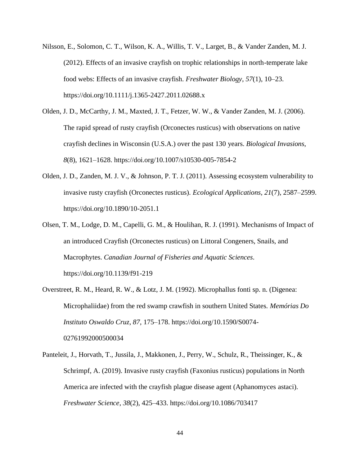- Nilsson, E., Solomon, C. T., Wilson, K. A., Willis, T. V., Larget, B., & Vander Zanden, M. J. (2012). Effects of an invasive crayfish on trophic relationships in north-temperate lake food webs: Effects of an invasive crayfish. *Freshwater Biology*, *57*(1), 10–23. https://doi.org/10.1111/j.1365-2427.2011.02688.x
- Olden, J. D., McCarthy, J. M., Maxted, J. T., Fetzer, W. W., & Vander Zanden, M. J. (2006). The rapid spread of rusty crayfish (Orconectes rusticus) with observations on native crayfish declines in Wisconsin (U.S.A.) over the past 130 years. *Biological Invasions*, *8*(8), 1621–1628. https://doi.org/10.1007/s10530-005-7854-2
- Olden, J. D., Zanden, M. J. V., & Johnson, P. T. J. (2011). Assessing ecosystem vulnerability to invasive rusty crayfish (Orconectes rusticus). *Ecological Applications*, *21*(7), 2587–2599. https://doi.org/10.1890/10-2051.1
- Olsen, T. M., Lodge, D. M., Capelli, G. M., & Houlihan, R. J. (1991). Mechanisms of Impact of an introduced Crayfish (Orconectes rusticus) on Littoral Congeners, Snails, and Macrophytes. *Canadian Journal of Fisheries and Aquatic Sciences*. https://doi.org/10.1139/f91-219
- Overstreet, R. M., Heard, R. W., & Lotz, J. M. (1992). Microphallus fonti sp. n. (Digenea: Microphaliidae) from the red swamp crawfish in southern United States. *Memórias Do Instituto Oswaldo Cruz*, *87*, 175–178. https://doi.org/10.1590/S0074- 02761992000500034
- Panteleit, J., Horvath, T., Jussila, J., Makkonen, J., Perry, W., Schulz, R., Theissinger, K., & Schrimpf, A. (2019). Invasive rusty crayfish (Faxonius rusticus) populations in North America are infected with the crayfish plague disease agent (Aphanomyces astaci). *Freshwater Science*, *38*(2), 425–433. https://doi.org/10.1086/703417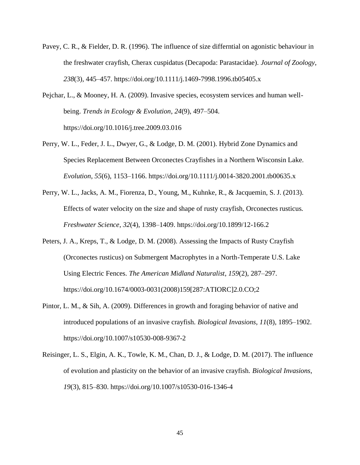- Pavey, C. R., & Fielder, D. R. (1996). The influence of size differntial on agonistic behaviour in the freshwater crayfish, Cherax cuspidatus (Decapoda: Parastacidae). *Journal of Zoology*, *238*(3), 445–457. https://doi.org/10.1111/j.1469-7998.1996.tb05405.x
- Pejchar, L., & Mooney, H. A. (2009). Invasive species, ecosystem services and human wellbeing. *Trends in Ecology & Evolution*, *24*(9), 497–504. https://doi.org/10.1016/j.tree.2009.03.016
- Perry, W. L., Feder, J. L., Dwyer, G., & Lodge, D. M. (2001). Hybrid Zone Dynamics and Species Replacement Between Orconectes Crayfishes in a Northern Wisconsin Lake. *Evolution*, *55*(6), 1153–1166. https://doi.org/10.1111/j.0014-3820.2001.tb00635.x
- Perry, W. L., Jacks, A. M., Fiorenza, D., Young, M., Kuhnke, R., & Jacquemin, S. J. (2013). Effects of water velocity on the size and shape of rusty crayfish, Orconectes rusticus. *Freshwater Science*, *32*(4), 1398–1409. https://doi.org/10.1899/12-166.2
- Peters, J. A., Kreps, T., & Lodge, D. M. (2008). Assessing the Impacts of Rusty Crayfish (Orconectes rusticus) on Submergent Macrophytes in a North-Temperate U.S. Lake Using Electric Fences. *The American Midland Naturalist*, *159*(2), 287–297. https://doi.org/10.1674/0003-0031(2008)159[287:ATIORC]2.0.CO;2
- Pintor, L. M., & Sih, A. (2009). Differences in growth and foraging behavior of native and introduced populations of an invasive crayfish. *Biological Invasions*, *11*(8), 1895–1902. https://doi.org/10.1007/s10530-008-9367-2
- Reisinger, L. S., Elgin, A. K., Towle, K. M., Chan, D. J., & Lodge, D. M. (2017). The influence of evolution and plasticity on the behavior of an invasive crayfish. *Biological Invasions*, *19*(3), 815–830. https://doi.org/10.1007/s10530-016-1346-4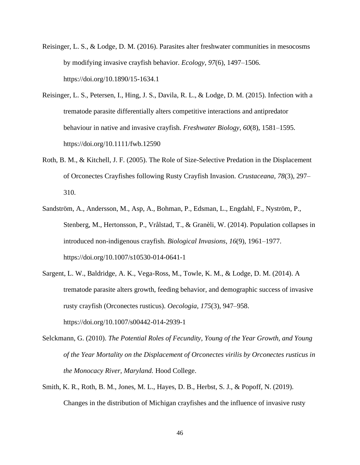- Reisinger, L. S., & Lodge, D. M. (2016). Parasites alter freshwater communities in mesocosms by modifying invasive crayfish behavior. *Ecology*, *97*(6), 1497–1506. https://doi.org/10.1890/15-1634.1
- Reisinger, L. S., Petersen, I., Hing, J. S., Davila, R. L., & Lodge, D. M. (2015). Infection with a trematode parasite differentially alters competitive interactions and antipredator behaviour in native and invasive crayfish. *Freshwater Biology*, *60*(8), 1581–1595. https://doi.org/10.1111/fwb.12590
- Roth, B. M., & Kitchell, J. F. (2005). The Role of Size-Selective Predation in the Displacement of Orconectes Crayfishes following Rusty Crayfish Invasion. *Crustaceana*, *78*(3), 297– 310.
- Sandström, A., Andersson, M., Asp, A., Bohman, P., Edsman, L., Engdahl, F., Nyström, P., Stenberg, M., Hertonsson, P., Vrålstad, T., & Granèli, W. (2014). Population collapses in introduced non-indigenous crayfish. *Biological Invasions*, *16*(9), 1961–1977. https://doi.org/10.1007/s10530-014-0641-1
- Sargent, L. W., Baldridge, A. K., Vega-Ross, M., Towle, K. M., & Lodge, D. M. (2014). A trematode parasite alters growth, feeding behavior, and demographic success of invasive rusty crayfish (Orconectes rusticus). *Oecologia*, *175*(3), 947–958. https://doi.org/10.1007/s00442-014-2939-1
- Selckmann, G. (2010). *The Potential Roles of Fecundity, Young of the Year Growth, and Young of the Year Mortality on the Displacement of Orconectes virilis by Orconectes rusticus in the Monocacy River, Maryland.* Hood College.
- Smith, K. R., Roth, B. M., Jones, M. L., Hayes, D. B., Herbst, S. J., & Popoff, N. (2019). Changes in the distribution of Michigan crayfishes and the influence of invasive rusty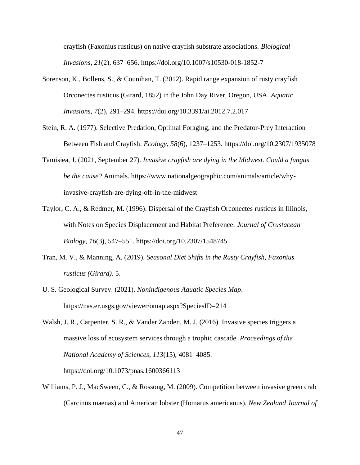crayfish (Faxonius rusticus) on native crayfish substrate associations. *Biological Invasions*, *21*(2), 637–656. https://doi.org/10.1007/s10530-018-1852-7

- Sorenson, K., Bollens, S., & Counihan, T. (2012). Rapid range expansion of rusty crayfish Orconectes rusticus (Girard, 1852) in the John Day River, Oregon, USA. *Aquatic Invasions*, *7*(2), 291–294. https://doi.org/10.3391/ai.2012.7.2.017
- Stein, R. A. (1977). Selective Predation, Optimal Foraging, and the Predator-Prey Interaction Between Fish and Crayfish. *Ecology*, *58*(6), 1237–1253. https://doi.org/10.2307/1935078
- Tamisiea, J. (2021, September 27). *Invasive crayfish are dying in the Midwest. Could a fungus be the cause?* Animals. https://www.nationalgeographic.com/animals/article/whyinvasive-crayfish-are-dying-off-in-the-midwest
- Taylor, C. A., & Redmer, M. (1996). Dispersal of the Crayfish Orconectes rusticus in Illinois, with Notes on Species Displacement and Habitat Preference. *Journal of Crustacean Biology*, *16*(3), 547–551. https://doi.org/10.2307/1548745
- Tran, M. V., & Manning, A. (2019). *Seasonal Diet Shifts in the Rusty Crayfish, Faxonius rusticus (Girard)*. 5.
- U. S. Geological Survey. (2021). *Nonindigenous Aquatic Species Map*. https://nas.er.usgs.gov/viewer/omap.aspx?SpeciesID=214
- Walsh, J. R., Carpenter, S. R., & Vander Zanden, M. J. (2016). Invasive species triggers a massive loss of ecosystem services through a trophic cascade. *Proceedings of the National Academy of Sciences*, *113*(15), 4081–4085.

https://doi.org/10.1073/pnas.1600366113

Williams, P. J., MacSween, C., & Rossong, M. (2009). Competition between invasive green crab (Carcinus maenas) and American lobster (Homarus americanus). *New Zealand Journal of*